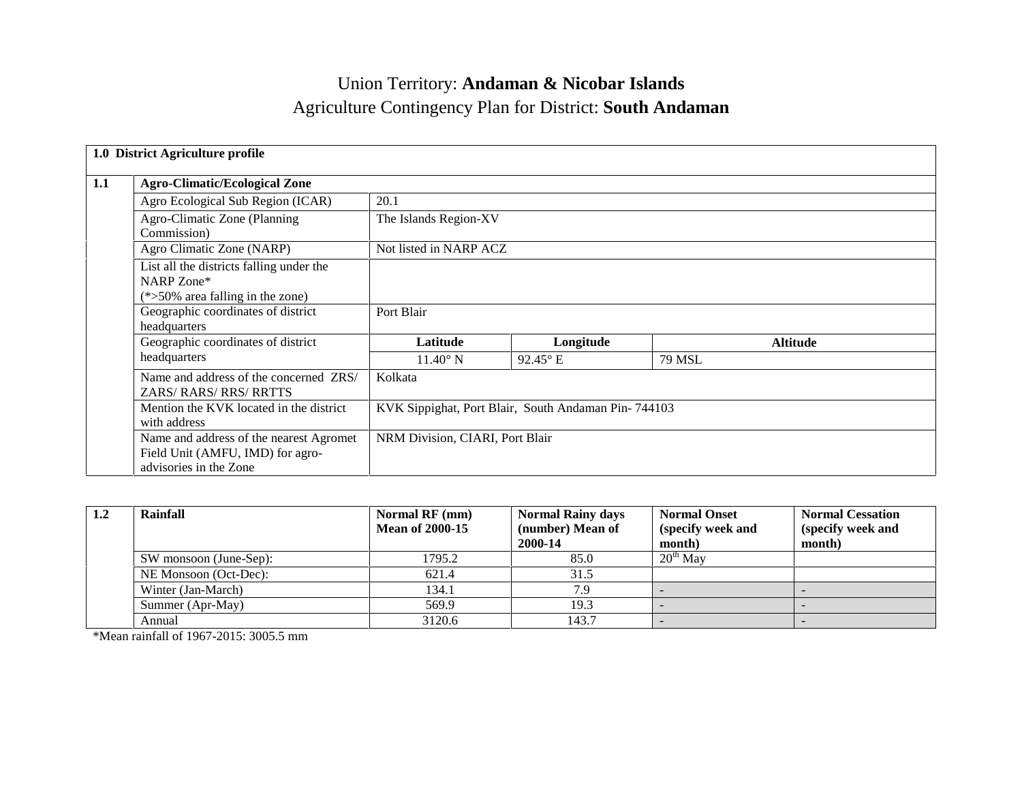# Union Territory: **Andaman & Nicobar Islands** Agriculture Contingency Plan for District: **South Andaman**

|     | 1.0 District Agriculture profile                                                                      |                                                     |                   |               |                 |  |  |
|-----|-------------------------------------------------------------------------------------------------------|-----------------------------------------------------|-------------------|---------------|-----------------|--|--|
| 1.1 | <b>Agro-Climatic/Ecological Zone</b>                                                                  |                                                     |                   |               |                 |  |  |
|     | Agro Ecological Sub Region (ICAR)                                                                     | 20.1                                                |                   |               |                 |  |  |
|     | Agro-Climatic Zone (Planning<br>Commission)                                                           | The Islands Region-XV                               |                   |               |                 |  |  |
|     | Agro Climatic Zone (NARP)                                                                             | Not listed in NARP ACZ                              |                   |               |                 |  |  |
|     | List all the districts falling under the<br>NARP Zone*<br>$(*>50\%$ area falling in the zone)         |                                                     |                   |               |                 |  |  |
|     | Geographic coordinates of district<br>headquarters                                                    | Port Blair                                          |                   |               |                 |  |  |
|     | Geographic coordinates of district                                                                    | Latitude                                            | Longitude         |               | <b>Altitude</b> |  |  |
|     | headquarters                                                                                          | $11.40^{\circ}$ N                                   | $92.45^{\circ}$ E | <b>79 MSL</b> |                 |  |  |
|     | Name and address of the concerned ZRS/<br><b>ZARS/ RARS/ RRS/ RRTTS</b>                               | Kolkata                                             |                   |               |                 |  |  |
|     | Mention the KVK located in the district<br>with address                                               | KVK Sippighat, Port Blair, South Andaman Pin-744103 |                   |               |                 |  |  |
|     | Name and address of the nearest Agromet<br>Field Unit (AMFU, IMD) for agro-<br>advisories in the Zone | NRM Division, CIARI, Port Blair                     |                   |               |                 |  |  |

| 1.2 | Rainfall               | Normal RF (mm)<br><b>Mean of 2000-15</b> | <b>Normal Rainy days</b><br>(number) Mean of<br>2000-14 | <b>Normal Onset</b><br>(specify week and<br>month) | <b>Normal Cessation</b><br>(specify week and<br>month) |
|-----|------------------------|------------------------------------------|---------------------------------------------------------|----------------------------------------------------|--------------------------------------------------------|
|     | SW monsoon (June-Sep): | 1795.2                                   | 85.0                                                    | $20^{th}$ May                                      |                                                        |
|     | NE Monsoon (Oct-Dec):  | 621.4                                    | 31.5                                                    |                                                    |                                                        |
|     | Winter (Jan-March)     | 134.1                                    | 7.9                                                     |                                                    |                                                        |
|     | Summer (Apr-May)       | 569.9                                    | 19.3                                                    |                                                    |                                                        |
|     | Annual                 | 3120.6                                   | 143.7                                                   |                                                    |                                                        |

\*Mean rainfall of 1967-2015: 3005.5 mm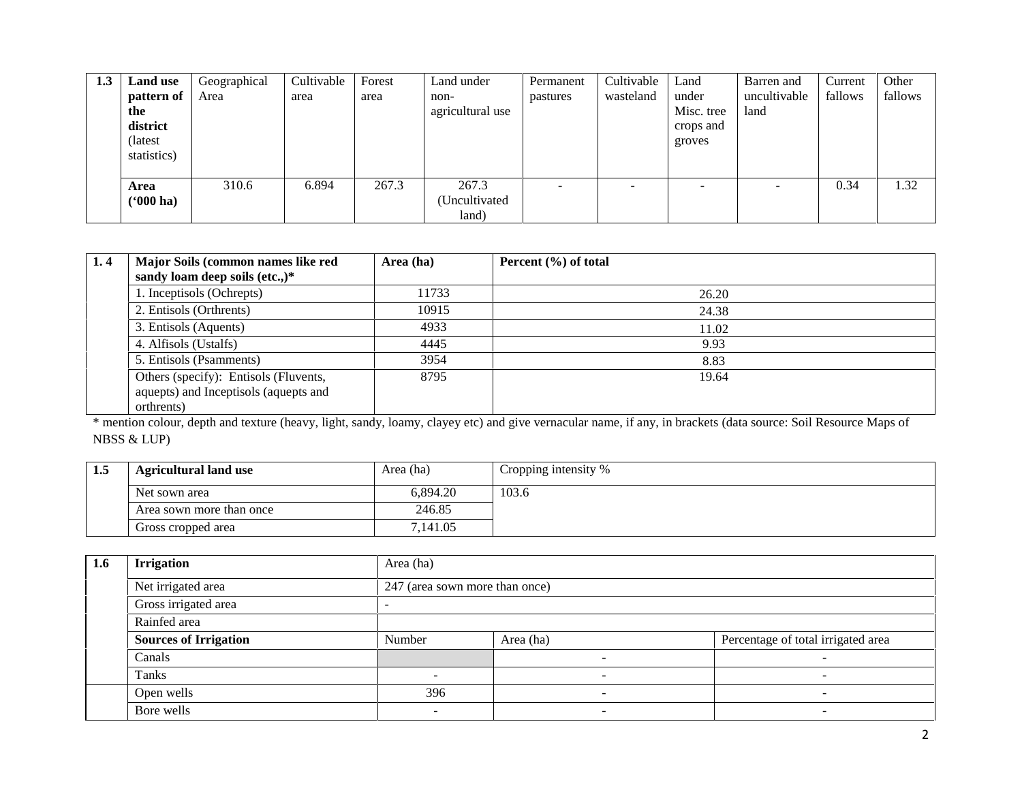| 1.3 | <b>Land use</b><br>pattern of<br>the<br>district<br>(latest)<br>statistics) | Geographical<br>Area | Cultivable<br>area | Forest<br>area | Land under<br>non-<br>agricultural use | Permanent<br>pastures    | Cultivable<br>wasteland | Land<br>under<br>Misc. tree<br>crops and<br>groves | Barren and<br>uncultivable<br>land | Current<br>fallows | Other<br>fallows |
|-----|-----------------------------------------------------------------------------|----------------------|--------------------|----------------|----------------------------------------|--------------------------|-------------------------|----------------------------------------------------|------------------------------------|--------------------|------------------|
|     | Area<br>$(900)$ ha)                                                         | 310.6                | 6.894              | 267.3          | 267.3<br>(Uncultivated)<br>land)       | $\overline{\phantom{a}}$ | -                       | $\overline{\phantom{a}}$                           |                                    | 0.34               | 1.32             |

| 1.4 | Major Soils (common names like red<br>sandy loam deep soils (etc.,)*                         | Area (ha) | Percent $(\% )$ of total |
|-----|----------------------------------------------------------------------------------------------|-----------|--------------------------|
|     | 1. Inceptisols (Ochrepts)                                                                    | 11733     | 26.20                    |
|     | 2. Entisols (Orthrents)                                                                      | 10915     | 24.38                    |
|     | 3. Entisols (Aquents)                                                                        | 4933      | 11.02                    |
|     | 4. Alfisols (Ustalfs)                                                                        | 4445      | 9.93                     |
|     | 5. Entisols (Psamments)                                                                      | 3954      | 8.83                     |
|     | Others (specify): Entisols (Fluvents,<br>aquepts) and Inceptisols (aquepts and<br>orthrents) | 8795      | 19.64                    |

\* mention colour, depth and texture (heavy, light, sandy, loamy, clayey etc) and give vernacular name, if any, in brackets (data source: Soil Resource Maps of NBSS & LUP)

| 1.5 | <b>Agricultural land use</b> | Area (ha) | Cropping intensity % |
|-----|------------------------------|-----------|----------------------|
|     | Net sown area                | 6.894.20  | 103.6                |
|     | Area sown more than once     | 246.85    |                      |
|     | Gross cropped area           | 7.141.05  |                      |

| 1.6 | <b>Irrigation</b>            | Area (ha)                      |                          |                                    |  |  |  |  |  |  |
|-----|------------------------------|--------------------------------|--------------------------|------------------------------------|--|--|--|--|--|--|
|     | Net irrigated area           | 247 (area sown more than once) |                          |                                    |  |  |  |  |  |  |
|     | Gross irrigated area         |                                |                          |                                    |  |  |  |  |  |  |
|     | Rainfed area                 |                                |                          |                                    |  |  |  |  |  |  |
|     | <b>Sources of Irrigation</b> | Number                         | Area (ha)                | Percentage of total irrigated area |  |  |  |  |  |  |
|     | Canals                       |                                | $\overline{\phantom{0}}$ |                                    |  |  |  |  |  |  |
|     | Tanks                        |                                | $\sim$                   |                                    |  |  |  |  |  |  |
|     | Open wells                   | 396                            | $\overline{\phantom{0}}$ |                                    |  |  |  |  |  |  |
|     | Bore wells                   |                                | $\overline{\phantom{0}}$ |                                    |  |  |  |  |  |  |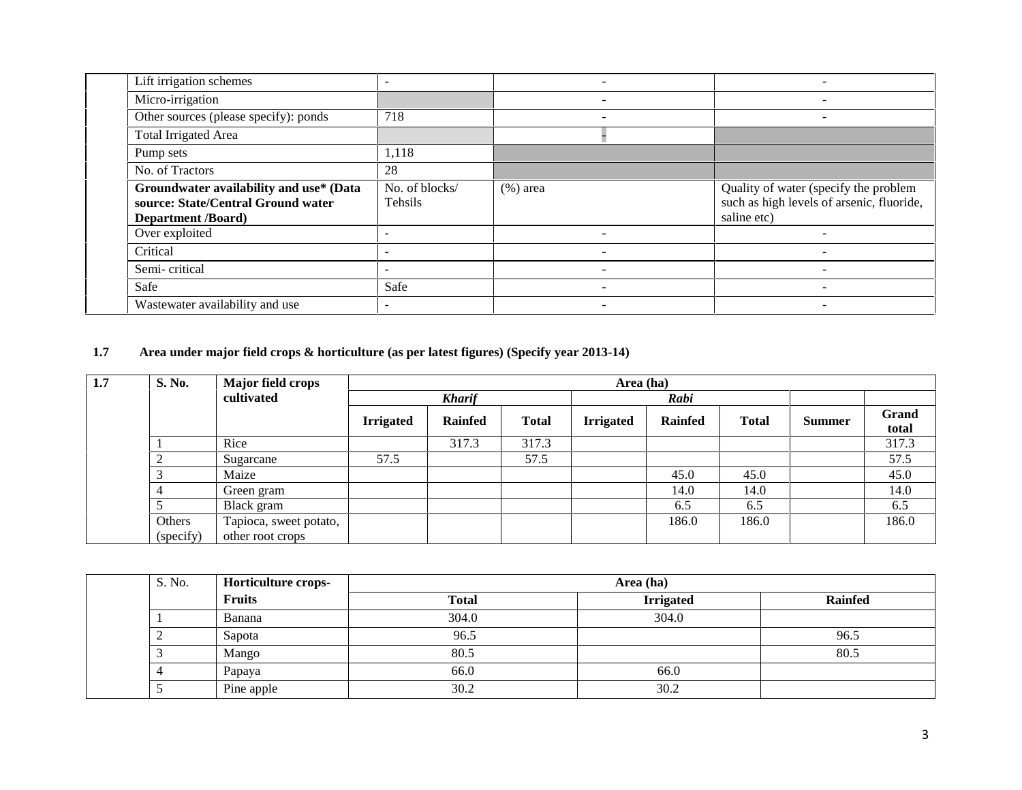| Lift irrigation schemes                                                                                    |                           |             |                                                                                                   |
|------------------------------------------------------------------------------------------------------------|---------------------------|-------------|---------------------------------------------------------------------------------------------------|
| Micro-irrigation                                                                                           |                           | -           | -                                                                                                 |
| Other sources (please specify): ponds                                                                      | 718                       |             |                                                                                                   |
| <b>Total Irrigated Area</b>                                                                                |                           |             |                                                                                                   |
| Pump sets                                                                                                  | 1,118                     |             |                                                                                                   |
| No. of Tractors                                                                                            | 28                        |             |                                                                                                   |
| Groundwater availability and use* (Data<br>source: State/Central Ground water<br><b>Department</b> /Board) | No. of blocks/<br>Tehsils | $(\%)$ area | Quality of water (specify the problem<br>such as high levels of arsenic, fluoride,<br>saline etc) |
| Over exploited                                                                                             |                           |             |                                                                                                   |
| Critical                                                                                                   |                           |             |                                                                                                   |
| Semi-critical                                                                                              |                           |             |                                                                                                   |
| Safe                                                                                                       | Safe                      |             |                                                                                                   |
| Wastewater availability and use                                                                            |                           |             |                                                                                                   |

## **1.7 Area under major field crops & horticulture (as per latest figures) (Specify year 2013-14)**

| 1.7 | S. No.    | <b>Major field crops</b> |                  |                |              |                  |                |              |               |                |
|-----|-----------|--------------------------|------------------|----------------|--------------|------------------|----------------|--------------|---------------|----------------|
|     |           | cultivated               | <b>Kharif</b>    |                |              |                  | Rabi           |              |               |                |
|     |           |                          | <b>Irrigated</b> | <b>Rainfed</b> | <b>Total</b> | <b>Irrigated</b> | <b>Rainfed</b> | <b>Total</b> | <b>Summer</b> | Grand<br>total |
|     |           | Rice                     |                  | 317.3          | 317.3        |                  |                |              |               | 317.3          |
|     |           | Sugarcane                | 57.5             |                | 57.5         |                  |                |              |               | 57.5           |
|     |           | Maize                    |                  |                |              |                  | 45.0           | 45.0         |               | 45.0           |
|     |           | Green gram               |                  |                |              |                  | 14.0           | 14.0         |               | 14.0           |
|     |           | Black gram               |                  |                |              |                  | 6.5            | 6.5          |               | 6.5            |
|     | Others    | Tapioca, sweet potato,   |                  |                |              |                  | 186.0          | 186.0        |               | 186.0          |
|     | (specify) | other root crops         |                  |                |              |                  |                |              |               |                |

| S. No. | Horticulture crops- |              | Area (ha)        |                |
|--------|---------------------|--------------|------------------|----------------|
|        | <b>Fruits</b>       | <b>Total</b> | <b>Irrigated</b> | <b>Rainfed</b> |
|        | Banana              | 304.0        | 304.0            |                |
|        | Sapota              | 96.5         |                  | 96.5           |
|        | Mango               | 80.5         |                  | 80.5           |
|        | Papaya              | 66.0         | 66.0             |                |
|        | Pine apple          | 30.2         | 30.2             |                |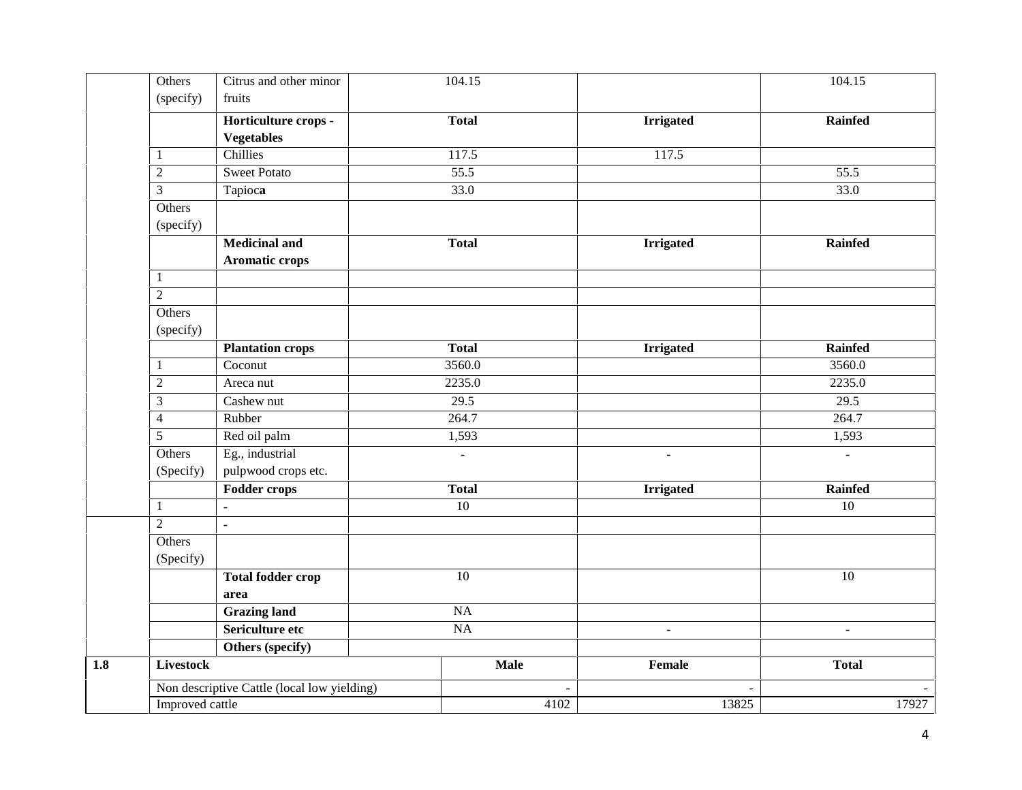| Others              | Citrus and other minor<br>fruits              | 104.15           |                  | 104.15         |  |  |
|---------------------|-----------------------------------------------|------------------|------------------|----------------|--|--|
| (specify)           |                                               |                  |                  |                |  |  |
|                     | Horticulture crops -                          | <b>Total</b>     | <b>Irrigated</b> | <b>Rainfed</b> |  |  |
|                     | <b>Vegetables</b>                             |                  |                  |                |  |  |
| $\mathbf{1}$        | Chillies                                      | 117.5            | 117.5            |                |  |  |
| $\overline{c}$      | <b>Sweet Potato</b>                           | 55.5             |                  | 55.5           |  |  |
| $\mathfrak{Z}$      | Tapioca                                       | $\frac{1}{33.0}$ |                  | 33.0           |  |  |
| Others<br>(specify) |                                               |                  |                  |                |  |  |
|                     | <b>Medicinal and</b><br><b>Aromatic crops</b> | <b>Total</b>     | <b>Irrigated</b> | <b>Rainfed</b> |  |  |
| $\mathbf{1}$        |                                               |                  |                  |                |  |  |
| $\overline{2}$      |                                               |                  |                  |                |  |  |
| Others<br>(specify) |                                               |                  |                  |                |  |  |
|                     | <b>Plantation crops</b>                       | <b>Total</b>     | <b>Irrigated</b> | <b>Rainfed</b> |  |  |
| $\mathbf{1}$        | Coconut                                       | 3560.0           |                  | 3560.0         |  |  |
| $\sqrt{2}$          | Areca nut                                     | 2235.0           |                  | 2235.0         |  |  |
| $\mathfrak{Z}$      | $\overline{\text{C}}$ ashew nut               | 29.5             |                  | 29.5           |  |  |
| $\overline{4}$      | Rubber                                        | 264.7            |                  | 264.7          |  |  |
| 5                   | Red oil palm                                  | 1,593            |                  | 1,593          |  |  |
| Others<br>(Specify) | Eg., industrial<br>pulpwood crops etc.        | $\blacksquare$   | $\blacksquare$   | $\overline{a}$ |  |  |
|                     | <b>Fodder crops</b>                           | <b>Total</b>     | <b>Irrigated</b> | <b>Rainfed</b> |  |  |
| $\mathbf{1}$        | $\mathbf{r}$                                  | 10               |                  | 10             |  |  |
| $\overline{2}$      | ä,                                            |                  |                  |                |  |  |
| Others<br>(Specify) |                                               |                  |                  |                |  |  |
|                     | <b>Total fodder crop</b>                      | 10               |                  | 10             |  |  |
|                     | area                                          |                  |                  |                |  |  |
|                     | <b>Grazing land</b>                           | $\rm NA$         |                  |                |  |  |
|                     | Sericulture etc                               | <b>NA</b>        |                  | ÷.             |  |  |
|                     | Others (specify)                              |                  |                  |                |  |  |
| <b>Livestock</b>    |                                               | <b>Male</b>      | Female           | <b>Total</b>   |  |  |
|                     | Non descriptive Cattle (local low yielding)   |                  |                  |                |  |  |
| Improved cattle     |                                               | 4102             | 13825            | 17927          |  |  |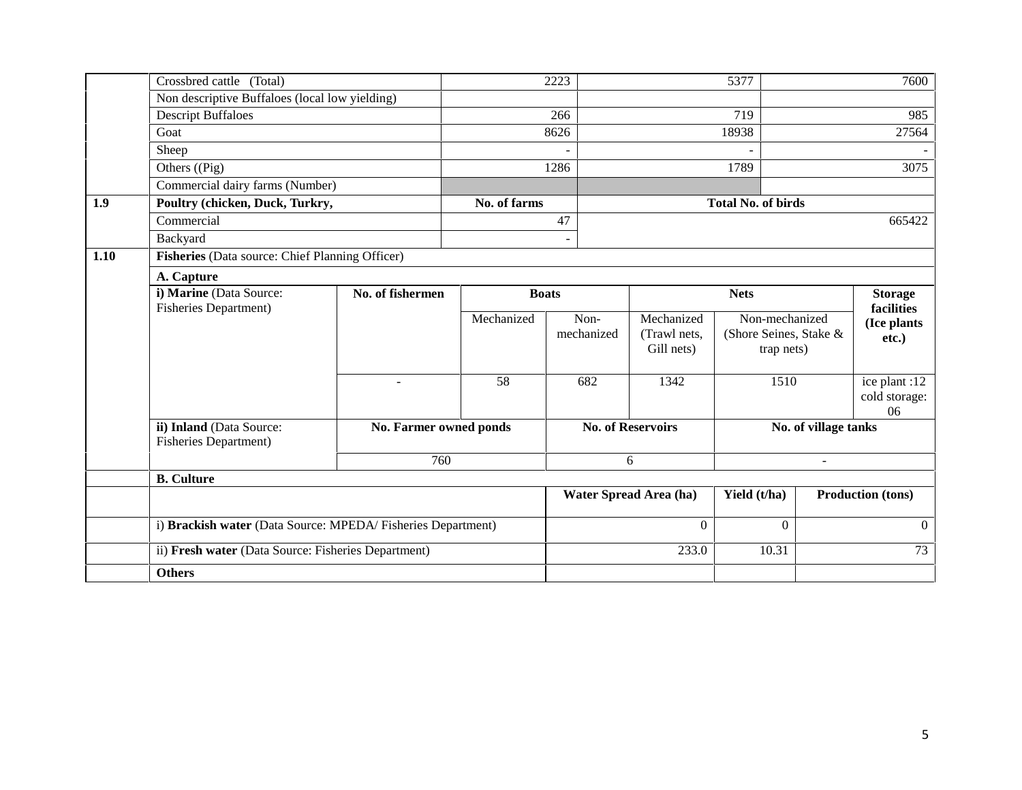|      | Crossbred cattle (Total)                                    |                                                 |              | 2223                     |                            | 5377                                 |                | 7600                                 |  |  |  |
|------|-------------------------------------------------------------|-------------------------------------------------|--------------|--------------------------|----------------------------|--------------------------------------|----------------|--------------------------------------|--|--|--|
|      | Non descriptive Buffaloes (local low yielding)              |                                                 |              |                          |                            |                                      |                |                                      |  |  |  |
|      | <b>Descript Buffaloes</b>                                   |                                                 | 266          |                          |                            | 719                                  |                | 985                                  |  |  |  |
|      | Goat                                                        |                                                 |              | 8626                     |                            | 18938                                |                | 27564                                |  |  |  |
|      | Sheep                                                       |                                                 |              |                          |                            |                                      |                |                                      |  |  |  |
|      | Others ((Pig)                                               |                                                 |              | 1286                     |                            | 1789                                 |                | 3075                                 |  |  |  |
|      | Commercial dairy farms (Number)                             |                                                 |              |                          |                            |                                      |                |                                      |  |  |  |
| 1.9  | Poultry (chicken, Duck, Turkry,                             |                                                 | No. of farms |                          |                            | <b>Total No. of birds</b>            |                |                                      |  |  |  |
|      | Commercial                                                  |                                                 |              | 47                       |                            |                                      |                | 665422                               |  |  |  |
|      | Backyard                                                    |                                                 |              |                          |                            |                                      |                |                                      |  |  |  |
| 1.10 |                                                             | Fisheries (Data source: Chief Planning Officer) |              |                          |                            |                                      |                |                                      |  |  |  |
|      | A. Capture                                                  |                                                 |              |                          |                            |                                      |                |                                      |  |  |  |
|      | i) Marine (Data Source:                                     | No. of fishermen                                | <b>Boats</b> |                          |                            | <b>Nets</b>                          | <b>Storage</b> |                                      |  |  |  |
|      | <b>Fisheries Department)</b>                                |                                                 | Mechanized   | Non-                     | Mechanized                 | Non-mechanized                       |                | facilities                           |  |  |  |
|      |                                                             |                                                 |              | mechanized               | (Trawl nets,<br>Gill nets) | (Shore Seines, Stake &<br>trap nets) |                | (Ice plants<br>etc.)                 |  |  |  |
|      |                                                             | $\overline{\phantom{a}}$                        | 58           | 682                      | 1342                       | 1510                                 |                | ice plant :12<br>cold storage:<br>06 |  |  |  |
|      | ii) Inland (Data Source:<br><b>Fisheries Department)</b>    | No. Farmer owned ponds                          |              | <b>No. of Reservoirs</b> |                            | No. of village tanks                 |                |                                      |  |  |  |
|      |                                                             | 760                                             |              |                          | 6                          | ä,                                   |                |                                      |  |  |  |
|      | <b>B.</b> Culture                                           |                                                 |              |                          |                            |                                      |                |                                      |  |  |  |
|      |                                                             |                                                 |              |                          | Water Spread Area (ha)     | Yield (t/ha)                         |                | <b>Production (tons)</b>             |  |  |  |
|      |                                                             |                                                 |              | $\boldsymbol{0}$         |                            | $\Omega$                             |                | $\Omega$                             |  |  |  |
|      | i) Brackish water (Data Source: MPEDA/Fisheries Department) |                                                 |              |                          |                            |                                      |                |                                      |  |  |  |
|      | ii) Fresh water (Data Source: Fisheries Department)         |                                                 |              |                          | 233.0                      | 10.31                                |                | 73                                   |  |  |  |
|      | <b>Others</b>                                               |                                                 |              |                          |                            |                                      |                |                                      |  |  |  |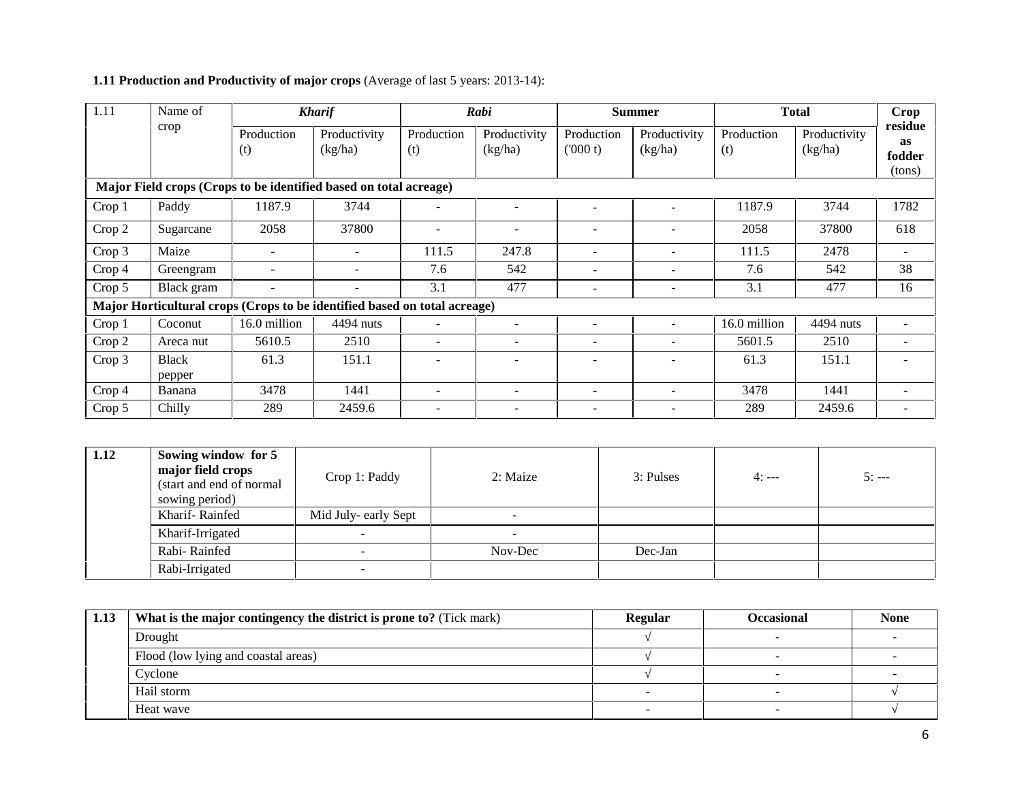| 1.11   | Name of      |                   | <b>Kharif</b>                                                             |                          | Rabi                     |                       | <b>Summer</b>            |                   | <b>Total</b>            | Crop                                     |
|--------|--------------|-------------------|---------------------------------------------------------------------------|--------------------------|--------------------------|-----------------------|--------------------------|-------------------|-------------------------|------------------------------------------|
| crop   |              | Production<br>(t) | Productivity<br>(kg/ha)                                                   | Production<br>(t)        | Productivity<br>(kg/ha)  | Production<br>(000 t) | Productivity<br>(kg/ha)  | Production<br>(t) | Productivity<br>(kg/ha) | residue<br><b>as</b><br>fodder<br>(tons) |
|        |              |                   | Major Field crops (Crops to be identified based on total acreage)         |                          |                          |                       |                          |                   |                         |                                          |
| Crop 1 | Paddy        | 1187.9            | 3744                                                                      | $\overline{\phantom{a}}$ |                          |                       |                          | 1187.9            | 3744                    | 1782                                     |
| Crop 2 | Sugarcane    | 2058              | 37800                                                                     |                          | $\overline{\phantom{a}}$ |                       |                          | 2058              | 37800                   | 618                                      |
| Crop 3 | Maize        |                   |                                                                           | 111.5                    | 247.8                    |                       |                          | 111.5             | 2478                    | ۰                                        |
| Crop 4 | Greengram    |                   |                                                                           | 7.6                      | 542                      |                       | $\overline{\phantom{a}}$ | 7.6               | 542                     | 38                                       |
| Crop 5 | Black gram   | ۰                 |                                                                           | 3.1                      | 477                      |                       |                          | 3.1               | 477                     | 16                                       |
|        |              |                   | Major Horticultural crops (Crops to be identified based on total acreage) |                          |                          |                       |                          |                   |                         |                                          |
| Crop 1 | Coconut      | 16.0 million      | 4494 nuts                                                                 |                          | $\overline{\phantom{a}}$ |                       | $\overline{\phantom{a}}$ | 16.0 million      | 4494 nuts               | $\overline{\phantom{a}}$                 |
| Crop 2 | Areca nut    | 5610.5            | 2510                                                                      | $\overline{\phantom{a}}$ | $\overline{\phantom{a}}$ | -                     | $\overline{\phantom{a}}$ | 5601.5            | 2510                    | $\overline{\phantom{a}}$                 |
| Crop 3 | <b>Black</b> | 61.3              | 151.1                                                                     |                          |                          |                       |                          | 61.3              | 151.1                   |                                          |
|        | pepper       |                   |                                                                           |                          |                          |                       |                          |                   |                         |                                          |
| Crop 4 | Banana       | 3478              | 1441                                                                      | $\overline{a}$           |                          | $\equiv$              |                          | 3478              | 1441                    | -                                        |
| Crop 5 | Chilly       | 289               | 2459.6                                                                    |                          |                          |                       |                          | 289               | 2459.6                  | ۰                                        |

## **1.11 Production and Productivity of major crops** (Average of last 5 years: 2013-14):

| 1.12 | Sowing window for 5<br>major field crops<br>(start and end of normal<br>sowing period) | Crop 1: Paddy        | 2: Maize                 | 3: Pulses | $4:---$ | $5: --$ |
|------|----------------------------------------------------------------------------------------|----------------------|--------------------------|-----------|---------|---------|
|      | Kharif-Rainfed                                                                         | Mid July- early Sept |                          |           |         |         |
|      | Kharif-Irrigated                                                                       | $\sim$               | $\overline{\phantom{a}}$ |           |         |         |
|      | Rabi-Rainfed                                                                           | $\sim$               | Nov-Dec                  | Dec-Jan   |         |         |
|      | Rabi-Irrigated                                                                         | $\sim$               |                          |           |         |         |

| 1.13 | What is the major contingency the district is prone to? (Tick mark) | <b>Regular</b>           | <b>Occasional</b> | <b>None</b> |
|------|---------------------------------------------------------------------|--------------------------|-------------------|-------------|
|      | Drought                                                             |                          |                   |             |
|      | Flood (low lying and coastal areas)                                 |                          |                   |             |
|      | Cyclone                                                             |                          |                   |             |
|      | Hail storm                                                          |                          |                   |             |
|      | Heat wave                                                           | $\overline{\phantom{a}}$ |                   |             |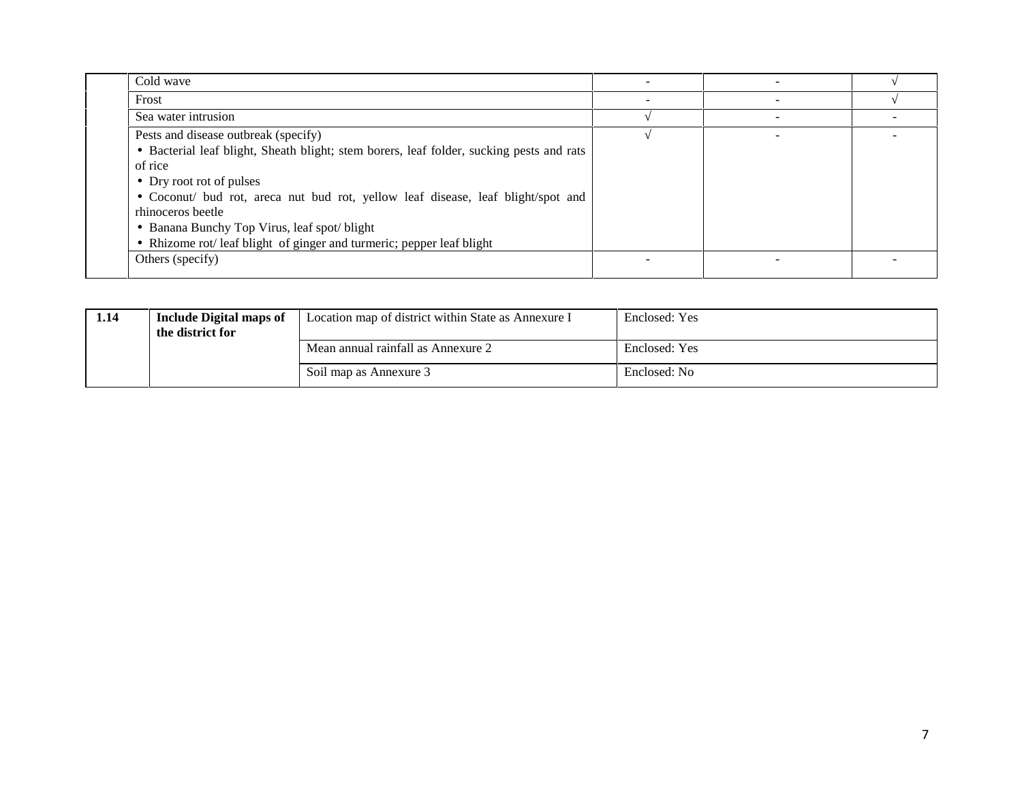| Cold wave                                                                                |  |  |
|------------------------------------------------------------------------------------------|--|--|
| Frost                                                                                    |  |  |
| Sea water intrusion                                                                      |  |  |
| Pests and disease outbreak (specify)                                                     |  |  |
| • Bacterial leaf blight, Sheath blight; stem borers, leaf folder, sucking pests and rats |  |  |
| of rice                                                                                  |  |  |
| • Dry root rot of pulses                                                                 |  |  |
| • Coconut/ bud rot, areca nut bud rot, yellow leaf disease, leaf blight/spot and         |  |  |
| rhinoceros beetle                                                                        |  |  |
| • Banana Bunchy Top Virus, leaf spot/blight                                              |  |  |
| • Rhizome rot/ leaf blight of ginger and turmeric; pepper leaf blight                    |  |  |
| Others (specify)                                                                         |  |  |
|                                                                                          |  |  |

| 1.14 | <b>Include Digital maps of</b><br>the district for | Location map of district within State as Annexure I | Enclosed: Yes |
|------|----------------------------------------------------|-----------------------------------------------------|---------------|
|      |                                                    | Mean annual rainfall as Annexure 2                  | Enclosed: Yes |
|      |                                                    | Soil map as Annexure 3                              | Enclosed: No  |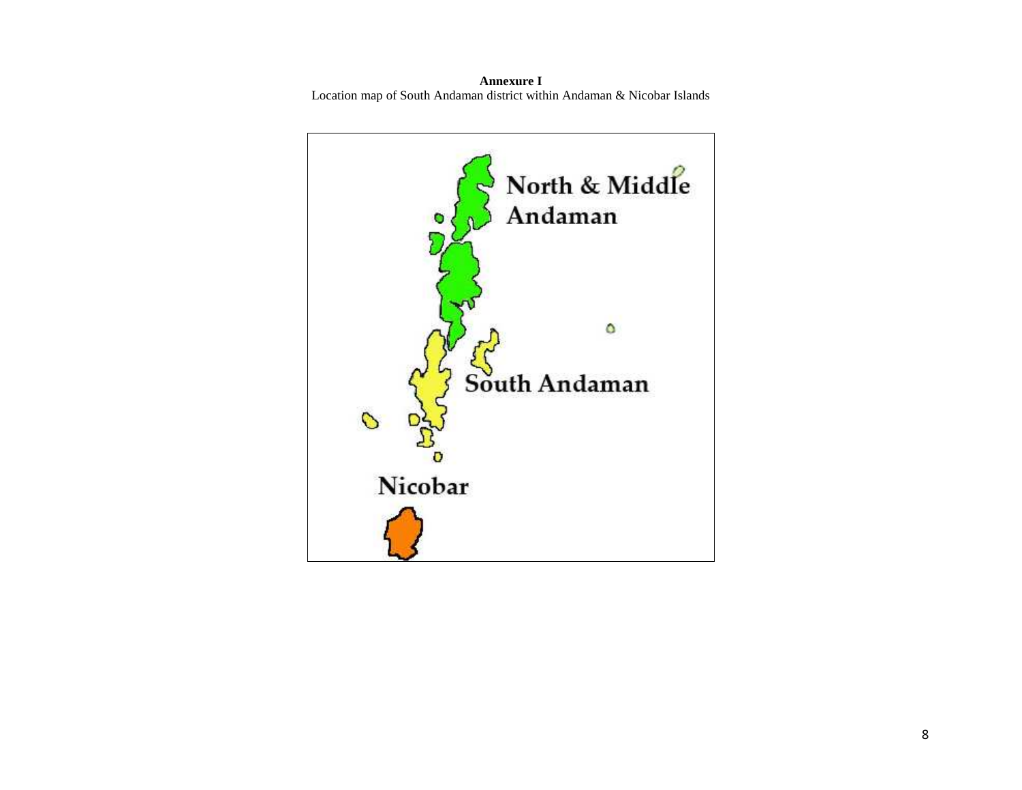**Annexure I** Location map of South Andaman district within Andaman & Nicobar Islands

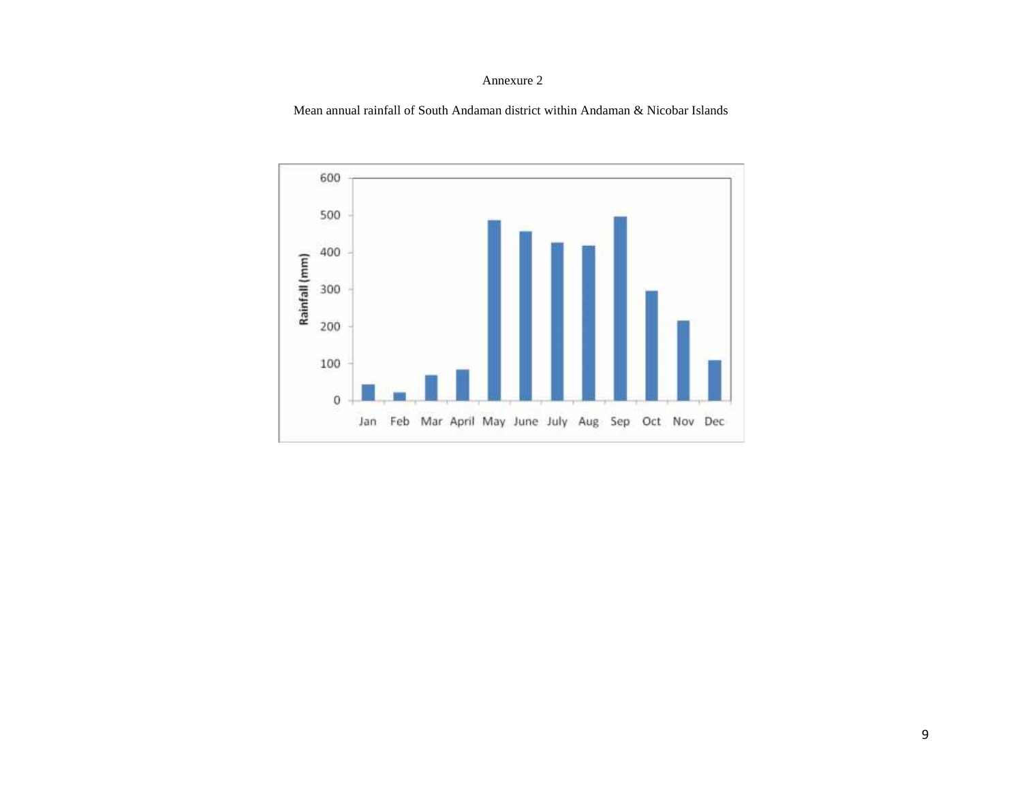#### Annexure 2

Mean annual rainfall of South Andaman district within Andaman & Nicobar Islands

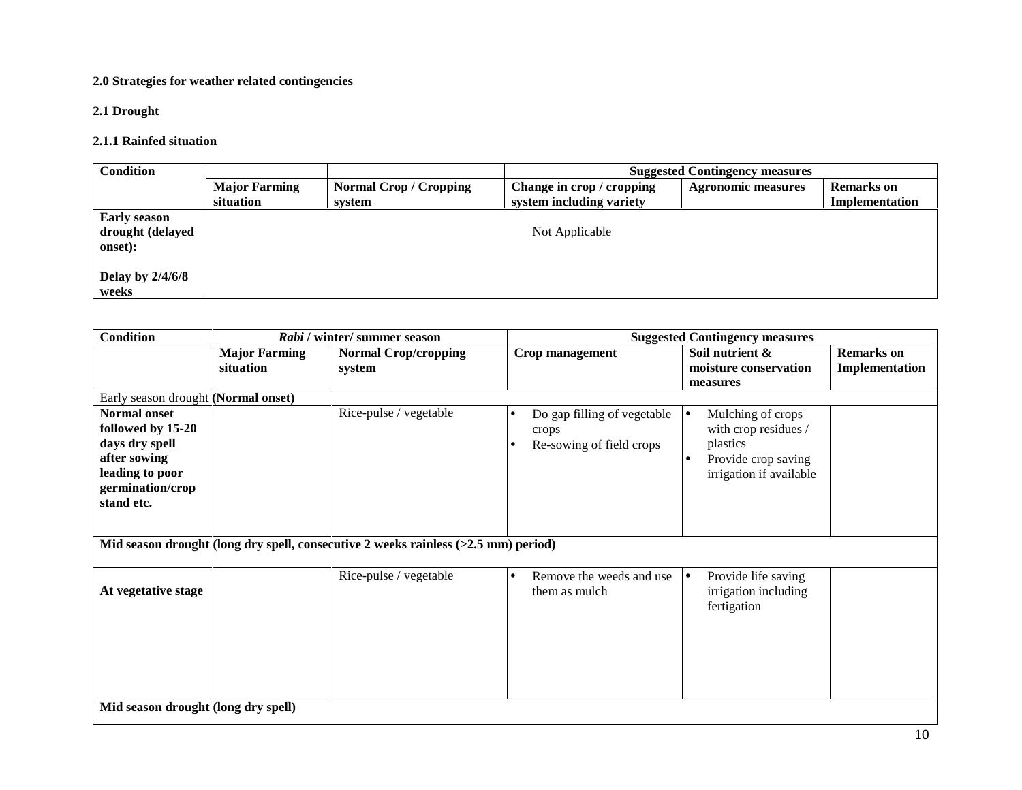## **2.0 Strategies for weather related contingencies**

## **2.1 Drought**

#### **2.1.1 Rainfed situation**

| <b>Condition</b>                                   | <b>Suggested Contingency measures</b> |                                       |                                                       |                           |                                     |
|----------------------------------------------------|---------------------------------------|---------------------------------------|-------------------------------------------------------|---------------------------|-------------------------------------|
|                                                    | <b>Major Farming</b><br>situation     | <b>Normal Crop/Cropping</b><br>system | Change in crop / cropping<br>system including variety | <b>Agronomic measures</b> | <b>Remarks</b> on<br>Implementation |
| <b>Early season</b><br>drought (delayed<br>onset): |                                       |                                       | Not Applicable                                        |                           |                                     |
| Delay by $2/4/6/8$<br>weeks                        |                                       |                                       |                                                       |                           |                                     |

| <b>Condition</b><br><b>Suggested Contingency measures</b><br>Rabi / winter/ summer season                                       |                                   |                                                                                      |                                                                               |                                                                                                                             |                                     |
|---------------------------------------------------------------------------------------------------------------------------------|-----------------------------------|--------------------------------------------------------------------------------------|-------------------------------------------------------------------------------|-----------------------------------------------------------------------------------------------------------------------------|-------------------------------------|
|                                                                                                                                 | <b>Major Farming</b><br>situation | <b>Normal Crop/cropping</b><br>system                                                | Crop management                                                               | Soil nutrient &<br>moisture conservation<br>measures                                                                        | <b>Remarks</b> on<br>Implementation |
| Early season drought (Normal onset)                                                                                             |                                   |                                                                                      |                                                                               |                                                                                                                             |                                     |
| <b>Normal onset</b><br>followed by 15-20<br>days dry spell<br>after sowing<br>leading to poor<br>germination/crop<br>stand etc. |                                   | Rice-pulse / vegetable                                                               | Do gap filling of vegetable<br>$\bullet$<br>crops<br>Re-sowing of field crops | Mulching of crops<br>l e<br>with crop residues /<br>plastics<br>Provide crop saving<br>$\bullet$<br>irrigation if available |                                     |
|                                                                                                                                 |                                   | Mid season drought (long dry spell, consecutive 2 weeks rainless $(>2.5$ mm) period) |                                                                               |                                                                                                                             |                                     |
| At vegetative stage                                                                                                             |                                   | Rice-pulse / vegetable                                                               | Remove the weeds and use<br>$\bullet$<br>them as mulch                        | Provide life saving<br>l e<br>irrigation including<br>fertigation                                                           |                                     |
| Mid season drought (long dry spell)                                                                                             |                                   |                                                                                      |                                                                               |                                                                                                                             |                                     |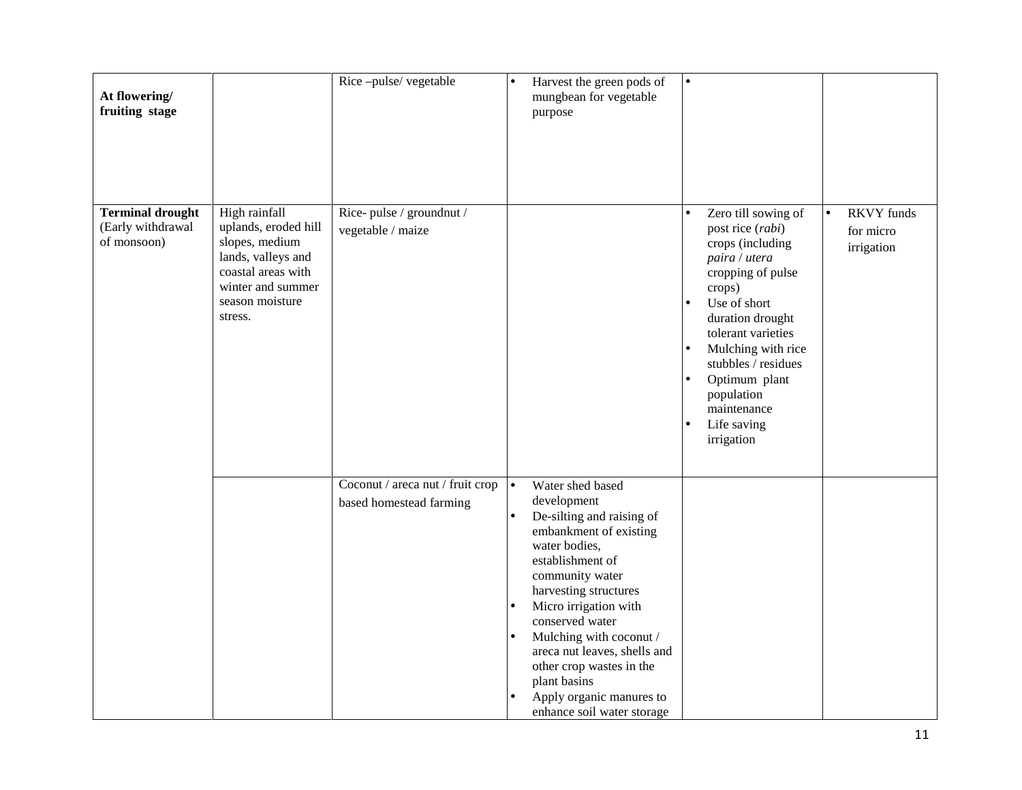| At flowering/<br>fruiting stage                             |                                                                                                                                                        | Rice-pulse/vegetable                                        | Harvest the green pods of<br>$\bullet$<br>mungbean for vegetable<br>purpose                                                                                                                                                                                                                                                                                                          |                                              |
|-------------------------------------------------------------|--------------------------------------------------------------------------------------------------------------------------------------------------------|-------------------------------------------------------------|--------------------------------------------------------------------------------------------------------------------------------------------------------------------------------------------------------------------------------------------------------------------------------------------------------------------------------------------------------------------------------------|----------------------------------------------|
| <b>Terminal drought</b><br>(Early withdrawal<br>of monsoon) | High rainfall<br>uplands, eroded hill<br>slopes, medium<br>lands, valleys and<br>coastal areas with<br>winter and summer<br>season moisture<br>stress. | Rice-pulse / groundnut /<br>vegetable / maize               | Zero till sowing of<br>$\bullet$<br>post rice (rabi)<br>crops (including<br>paira / utera<br>cropping of pulse<br>crops)<br>Use of short<br>duration drought<br>tolerant varieties<br>Mulching with rice<br>stubbles / residues<br>Optimum plant<br>population<br>maintenance<br>Life saving<br>irrigation                                                                           | <b>RKVY</b> funds<br>for micro<br>irrigation |
|                                                             |                                                                                                                                                        | Coconut / areca nut / fruit crop<br>based homestead farming | Water shed based<br>development<br>De-silting and raising of<br>embankment of existing<br>water bodies,<br>establishment of<br>community water<br>harvesting structures<br>Micro irrigation with<br>conserved water<br>Mulching with coconut /<br>areca nut leaves, shells and<br>other crop wastes in the<br>plant basins<br>Apply organic manures to<br>enhance soil water storage |                                              |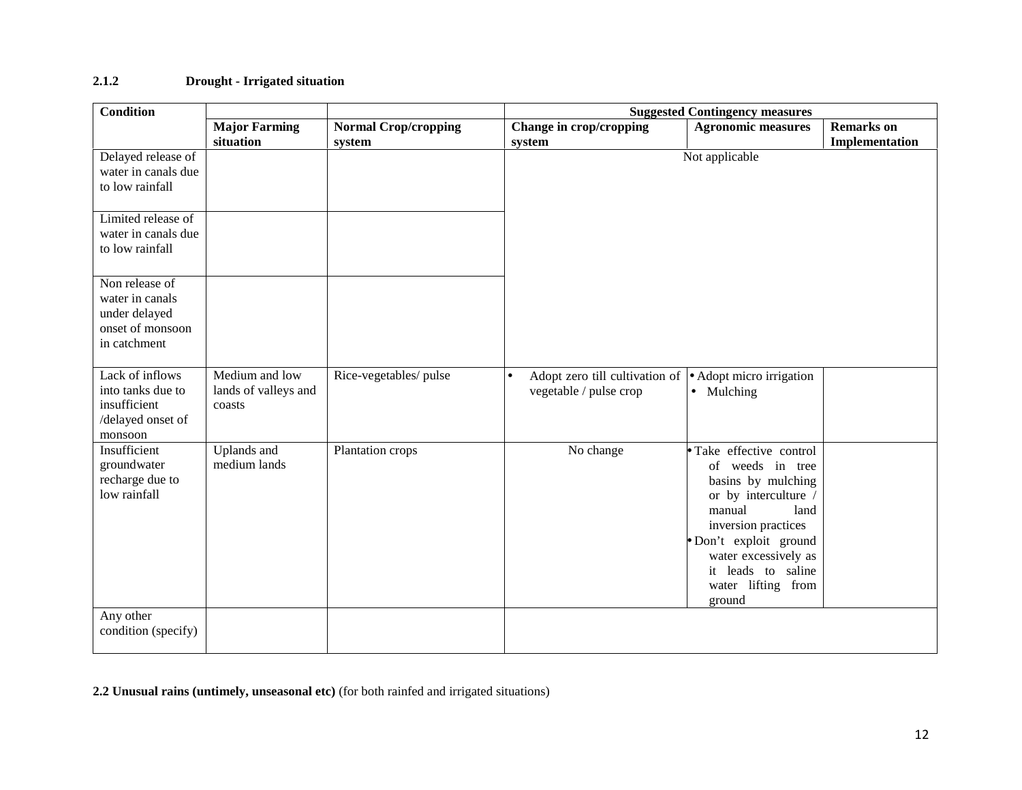### **2.1.2 Drought - Irrigated situation**

| <b>Condition</b>                                                                       |                                                  | <b>Suggested Contingency measures</b> |                                                                                                |                                                                                                                                                                                                                                         |                                     |  |
|----------------------------------------------------------------------------------------|--------------------------------------------------|---------------------------------------|------------------------------------------------------------------------------------------------|-----------------------------------------------------------------------------------------------------------------------------------------------------------------------------------------------------------------------------------------|-------------------------------------|--|
|                                                                                        | <b>Major Farming</b><br>situation                | <b>Normal Crop/cropping</b><br>system | Change in crop/cropping<br>system                                                              | <b>Agronomic measures</b>                                                                                                                                                                                                               | <b>Remarks</b> on<br>Implementation |  |
| Delayed release of<br>water in canals due<br>to low rainfall                           |                                                  |                                       |                                                                                                | Not applicable                                                                                                                                                                                                                          |                                     |  |
| Limited release of<br>water in canals due<br>to low rainfall                           |                                                  |                                       |                                                                                                |                                                                                                                                                                                                                                         |                                     |  |
| Non release of<br>water in canals<br>under delayed<br>onset of monsoon<br>in catchment |                                                  |                                       |                                                                                                |                                                                                                                                                                                                                                         |                                     |  |
| Lack of inflows<br>into tanks due to<br>insufficient<br>/delayed onset of<br>monsoon   | Medium and low<br>lands of valleys and<br>coasts | Rice-vegetables/pulse                 | Adopt zero till cultivation of • Adopt micro irrigation<br>$\bullet$<br>vegetable / pulse crop | • Mulching                                                                                                                                                                                                                              |                                     |  |
| Insufficient<br>groundwater<br>recharge due to<br>low rainfall                         | Uplands and<br>medium lands                      | Plantation crops                      | No change                                                                                      | Take effective control<br>of weeds in tree<br>basins by mulching<br>or by interculture /<br>manual<br>land<br>inversion practices<br>Don't exploit ground<br>water excessively as<br>it leads to saline<br>water lifting from<br>ground |                                     |  |
| Any other<br>condition (specify)                                                       |                                                  |                                       |                                                                                                |                                                                                                                                                                                                                                         |                                     |  |

**2.2 Unusual rains (untimely, unseasonal etc)** (for both rainfed and irrigated situations)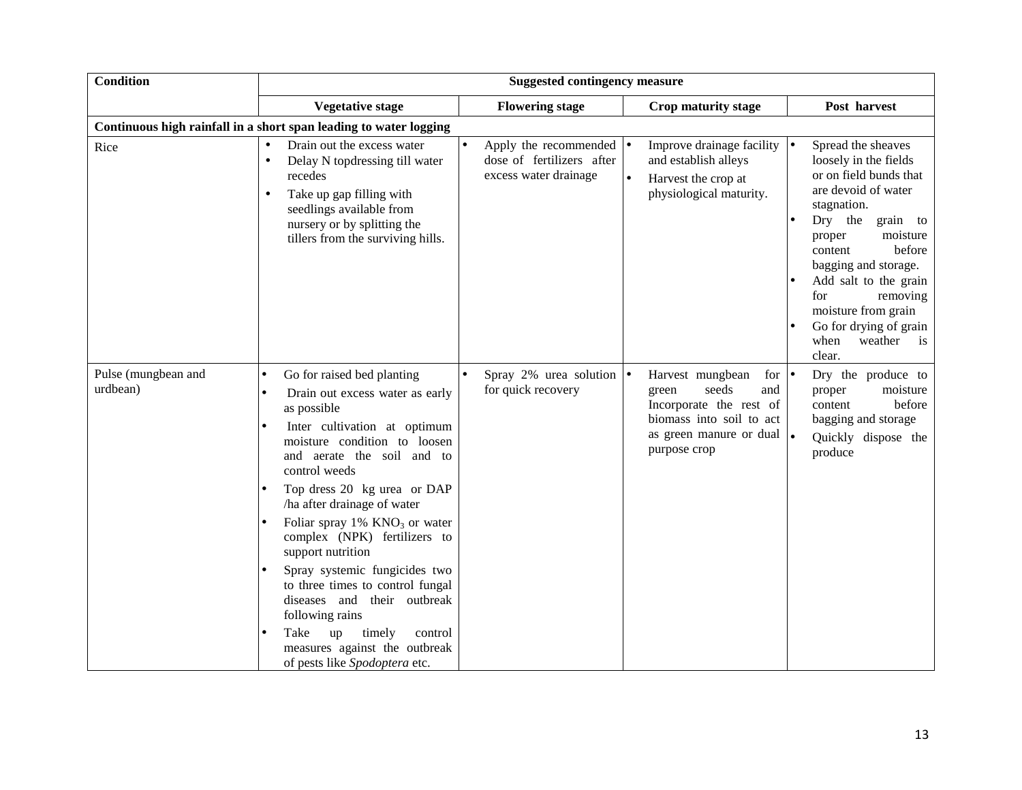| <b>Condition</b>                |                                                                                                                                                                                                                                                                                                                                                                                                                                                                                                                                                                                                                     |                                                                                       | <b>Suggested contingency measure</b>                                                                                                                                                                                                                                                                                                                                                                                                                                  |  |  |  |  |  |  |  |
|---------------------------------|---------------------------------------------------------------------------------------------------------------------------------------------------------------------------------------------------------------------------------------------------------------------------------------------------------------------------------------------------------------------------------------------------------------------------------------------------------------------------------------------------------------------------------------------------------------------------------------------------------------------|---------------------------------------------------------------------------------------|-----------------------------------------------------------------------------------------------------------------------------------------------------------------------------------------------------------------------------------------------------------------------------------------------------------------------------------------------------------------------------------------------------------------------------------------------------------------------|--|--|--|--|--|--|--|
|                                 | <b>Vegetative stage</b>                                                                                                                                                                                                                                                                                                                                                                                                                                                                                                                                                                                             | <b>Flowering stage</b>                                                                | Post harvest<br><b>Crop maturity stage</b>                                                                                                                                                                                                                                                                                                                                                                                                                            |  |  |  |  |  |  |  |
|                                 | Continuous high rainfall in a short span leading to water logging                                                                                                                                                                                                                                                                                                                                                                                                                                                                                                                                                   |                                                                                       |                                                                                                                                                                                                                                                                                                                                                                                                                                                                       |  |  |  |  |  |  |  |
| Rice                            | Drain out the excess water<br>$\bullet$<br>Delay N topdressing till water<br>$\bullet$<br>recedes<br>Take up gap filling with<br>$\bullet$<br>seedlings available from<br>nursery or by splitting the<br>tillers from the surviving hills.                                                                                                                                                                                                                                                                                                                                                                          | Apply the recommended $\bullet$<br>dose of fertilizers after<br>excess water drainage | Improve drainage facility $  \bullet  $<br>Spread the sheaves<br>and establish alleys<br>loosely in the fields<br>or on field bunds that<br>Harvest the crop at<br>are devoid of water<br>physiological maturity.<br>stagnation.<br>Dry the<br>grain to<br>moisture<br>proper<br>before<br>content<br>bagging and storage.<br>Add salt to the grain<br>for<br>removing<br>moisture from grain<br>Go for drying of grain<br>weather<br>when<br>$\frac{1}{1}$<br>clear. |  |  |  |  |  |  |  |
| Pulse (mungbean and<br>urdbean) | Go for raised bed planting<br>$\bullet$<br>Drain out excess water as early<br>$\bullet$<br>as possible<br>Inter cultivation at optimum<br>moisture condition to loosen<br>and aerate the soil and to<br>control weeds<br>Top dress 20 kg urea or DAP<br>ha after drainage of water<br>Foliar spray $1\%$ KNO <sub>3</sub> or water<br>complex (NPK) fertilizers to<br>support nutrition<br>Spray systemic fungicides two<br>to three times to control fungal<br>diseases and their outbreak<br>following rains<br>Take<br>timely<br>up<br>control<br>measures against the outbreak<br>of pests like Spodoptera etc. | Spray 2% urea solution $\bullet$<br>for quick recovery                                | Harvest mungbean<br>Dry the produce to<br>for $\bullet$<br>seeds<br>moisture<br>green<br>and<br>proper<br>Incorporate the rest of<br>before<br>content<br>biomass into soil to act<br>bagging and storage<br>as green manure or dual $\left  \bullet \right $<br>Quickly dispose the<br>purpose crop<br>produce                                                                                                                                                       |  |  |  |  |  |  |  |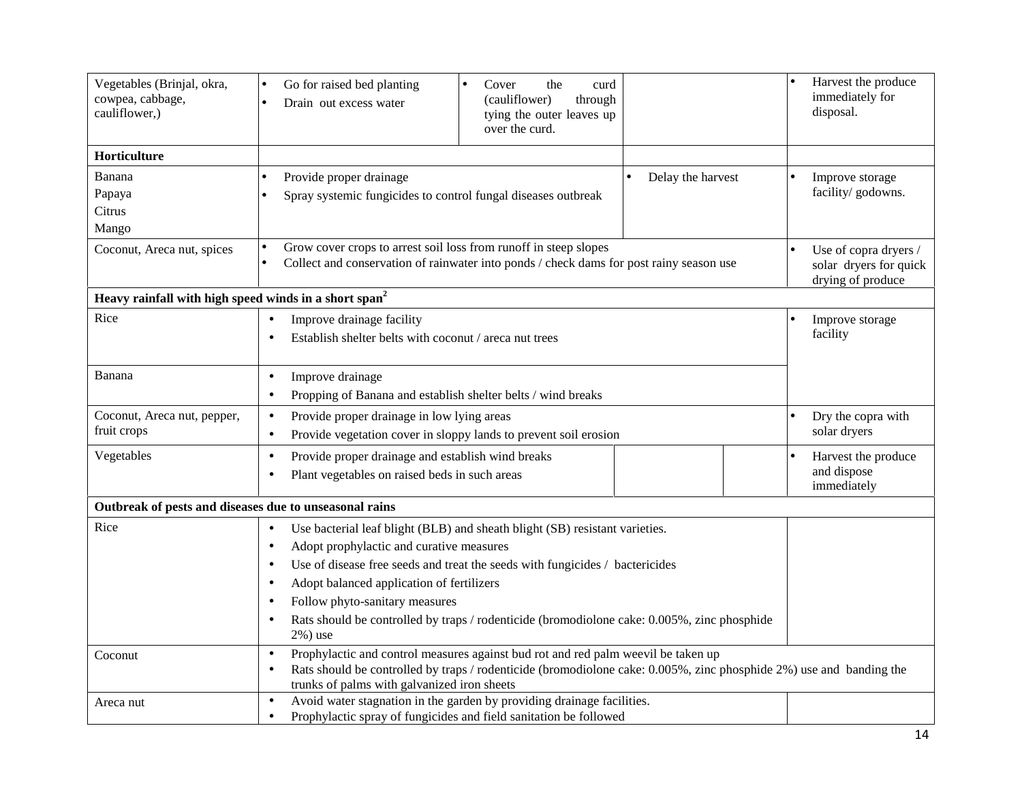| Vegetables (Brinjal, okra,<br>cowpea, cabbage,<br>cauliflower,)   | Go for raised bed planting<br>the<br>Cover<br>$\bullet$<br>curd<br>(cauliflower)<br>through<br>Drain out excess water<br>tying the outer leaves up<br>over the curd.  | Harvest the produce<br>immediately for<br>disposal.                  |
|-------------------------------------------------------------------|-----------------------------------------------------------------------------------------------------------------------------------------------------------------------|----------------------------------------------------------------------|
| Horticulture                                                      |                                                                                                                                                                       |                                                                      |
| Banana                                                            | Provide proper drainage<br>Delay the harvest                                                                                                                          | Improve storage                                                      |
| Papaya                                                            | Spray systemic fungicides to control fungal diseases outbreak                                                                                                         | facility/ godowns.                                                   |
| Citrus                                                            |                                                                                                                                                                       |                                                                      |
| Mango                                                             |                                                                                                                                                                       |                                                                      |
| Coconut, Areca nut, spices                                        | Grow cover crops to arrest soil loss from runoff in steep slopes<br>Collect and conservation of rainwater into ponds / check dams for post rainy season use           | Use of copra dryers /<br>solar dryers for quick<br>drying of produce |
| Heavy rainfall with high speed winds in a short span <sup>2</sup> |                                                                                                                                                                       |                                                                      |
| Rice                                                              | Improve drainage facility<br>$\bullet$                                                                                                                                | Improve storage                                                      |
|                                                                   | Establish shelter belts with coconut / areca nut trees<br>$\bullet$                                                                                                   | facility                                                             |
| Banana                                                            | Improve drainage<br>$\bullet$                                                                                                                                         |                                                                      |
|                                                                   | Propping of Banana and establish shelter belts / wind breaks<br>$\bullet$                                                                                             |                                                                      |
| Coconut, Areca nut, pepper,                                       | Provide proper drainage in low lying areas<br>$\bullet$                                                                                                               | Dry the copra with                                                   |
| fruit crops                                                       | Provide vegetation cover in sloppy lands to prevent soil erosion<br>$\bullet$                                                                                         | solar dryers                                                         |
| Vegetables                                                        | Provide proper drainage and establish wind breaks<br>$\bullet$                                                                                                        | Harvest the produce                                                  |
|                                                                   | Plant vegetables on raised beds in such areas<br>$\bullet$                                                                                                            | and dispose<br>immediately                                           |
| Outbreak of pests and diseases due to unseasonal rains            |                                                                                                                                                                       |                                                                      |
| Rice                                                              | Use bacterial leaf blight (BLB) and sheath blight (SB) resistant varieties.<br>$\bullet$                                                                              |                                                                      |
|                                                                   | Adopt prophylactic and curative measures<br>$\bullet$                                                                                                                 |                                                                      |
|                                                                   | Use of disease free seeds and treat the seeds with fungicides / bactericides<br>$\bullet$                                                                             |                                                                      |
|                                                                   | Adopt balanced application of fertilizers<br>$\bullet$                                                                                                                |                                                                      |
|                                                                   | Follow phyto-sanitary measures<br>$\bullet$                                                                                                                           |                                                                      |
|                                                                   | Rats should be controlled by traps / rodenticide (bromodiolone cake: 0.005%, zinc phosphide<br>$\bullet$<br>$2\%$ ) use                                               |                                                                      |
| Coconut                                                           | Prophylactic and control measures against bud rot and red palm weevil be taken up<br>$\bullet$                                                                        |                                                                      |
|                                                                   | Rats should be controlled by traps / rodenticide (bromodiolone cake: 0.005%, zinc phosphide 2%) use and banding the<br>$\bullet$                                      |                                                                      |
|                                                                   | trunks of palms with galvanized iron sheets                                                                                                                           |                                                                      |
| Areca nut                                                         | Avoid water stagnation in the garden by providing drainage facilities.<br>$\bullet$<br>Prophylactic spray of fungicides and field sanitation be followed<br>$\bullet$ |                                                                      |
|                                                                   |                                                                                                                                                                       |                                                                      |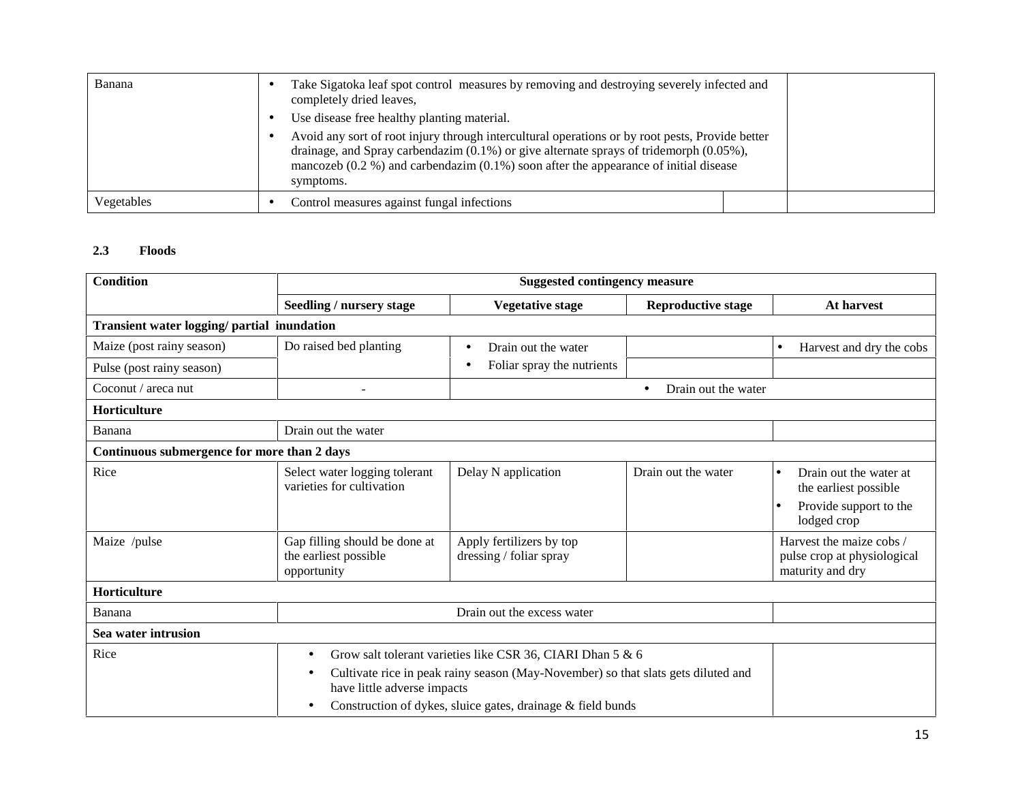| Banana     | Take Sigatoka leaf spot control measures by removing and destroying severely infected and<br>completely dried leaves,<br>Use disease free healthy planting material.                                                                                                                                        |  |
|------------|-------------------------------------------------------------------------------------------------------------------------------------------------------------------------------------------------------------------------------------------------------------------------------------------------------------|--|
|            | Avoid any sort of root injury through intercultural operations or by root pests, Provide better<br>drainage, and Spray carbendazim $(0.1\%)$ or give alternate sprays of tridemorph $(0.05\%)$ ,<br>mancozeb $(0.2\% )$ and carbendazim $(0.1\%)$ soon after the appearance of initial disease<br>symptoms. |  |
| Vegetables | Control measures against fungal infections                                                                                                                                                                                                                                                                  |  |

#### **2.3 Floods**

| <b>Condition</b>                            | <b>Suggested contingency measure</b>                                  |                                                                                   |                                  |                                                                                          |  |  |
|---------------------------------------------|-----------------------------------------------------------------------|-----------------------------------------------------------------------------------|----------------------------------|------------------------------------------------------------------------------------------|--|--|
|                                             | Seedling / nursery stage                                              | <b>Vegetative stage</b>                                                           | <b>Reproductive stage</b>        | At harvest                                                                               |  |  |
| Transient water logging/ partial inundation |                                                                       |                                                                                   |                                  |                                                                                          |  |  |
| Maize (post rainy season)                   | Do raised bed planting                                                | Drain out the water<br>$\bullet$                                                  |                                  | Harvest and dry the cobs<br>$\bullet$                                                    |  |  |
| Pulse (post rainy season)                   |                                                                       | Foliar spray the nutrients<br>$\bullet$                                           |                                  |                                                                                          |  |  |
| Coconut / areca nut                         |                                                                       |                                                                                   | Drain out the water<br>$\bullet$ |                                                                                          |  |  |
| Horticulture                                |                                                                       |                                                                                   |                                  |                                                                                          |  |  |
| Banana                                      | Drain out the water                                                   |                                                                                   |                                  |                                                                                          |  |  |
| Continuous submergence for more than 2 days |                                                                       |                                                                                   |                                  |                                                                                          |  |  |
| Rice                                        | Select water logging tolerant<br>varieties for cultivation            | Delay N application                                                               | Drain out the water              | Drain out the water at<br>the earliest possible<br>Provide support to the<br>lodged crop |  |  |
| Maize /pulse                                | Gap filling should be done at<br>the earliest possible<br>opportunity | Apply fertilizers by top<br>dressing / foliar spray                               |                                  | Harvest the maize cobs /<br>pulse crop at physiological<br>maturity and dry              |  |  |
| Horticulture                                |                                                                       |                                                                                   |                                  |                                                                                          |  |  |
| Banana                                      |                                                                       | Drain out the excess water                                                        |                                  |                                                                                          |  |  |
| Sea water intrusion                         |                                                                       |                                                                                   |                                  |                                                                                          |  |  |
| Rice                                        | $\bullet$                                                             | Grow salt tolerant varieties like CSR 36, CIARI Dhan 5 & 6                        |                                  |                                                                                          |  |  |
|                                             | ٠<br>have little adverse impacts                                      | Cultivate rice in peak rainy season (May-November) so that slats gets diluted and |                                  |                                                                                          |  |  |
|                                             |                                                                       | Construction of dykes, sluice gates, drainage & field bunds                       |                                  |                                                                                          |  |  |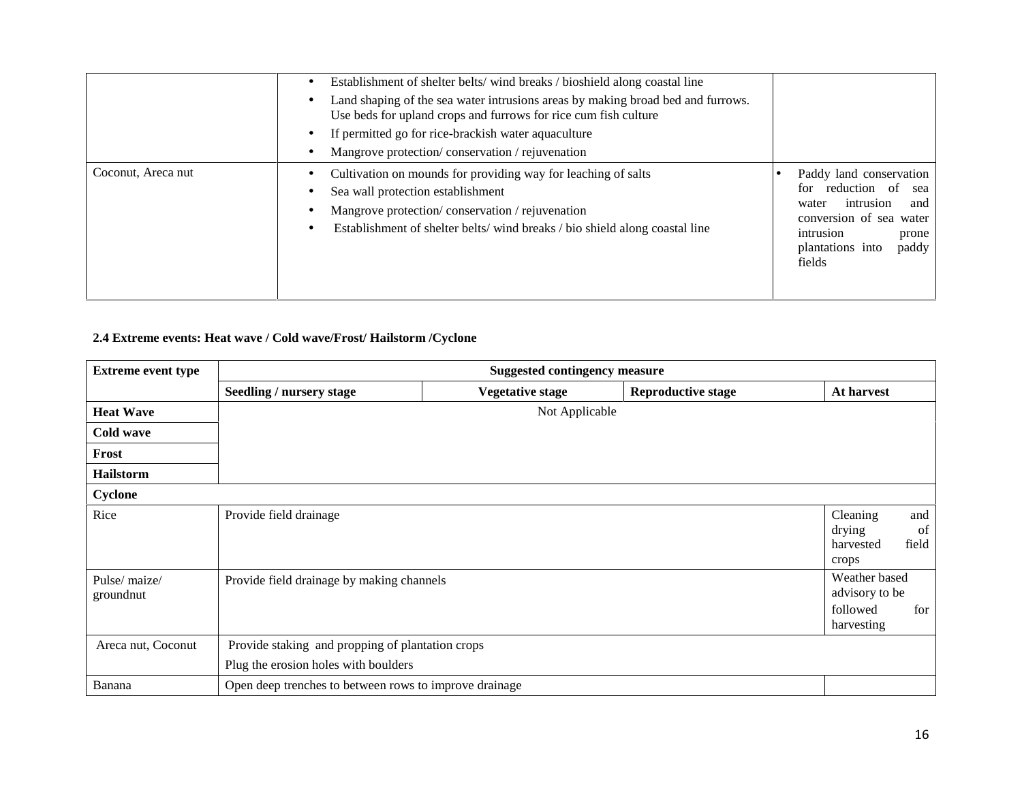|                    | Establishment of shelter belts/wind breaks / bioshield along coastal line<br>Land shaping of the sea water intrusions areas by making broad bed and furrows.<br>Use beds for upland crops and furrows for rice cum fish culture<br>If permitted go for rice-brackish water aquaculture<br>Mangrove protection/conservation/rejuvenation |                                                                                                                                                                            |
|--------------------|-----------------------------------------------------------------------------------------------------------------------------------------------------------------------------------------------------------------------------------------------------------------------------------------------------------------------------------------|----------------------------------------------------------------------------------------------------------------------------------------------------------------------------|
| Coconut, Areca nut | Cultivation on mounds for providing way for leaching of salts<br>Sea wall protection establishment<br>Mangrove protection/conservation/rejuvenation<br>Establishment of shelter belts/wind breaks/bio shield along coastal line                                                                                                         | Paddy land conservation<br>reduction of<br>for<br>sea<br>intrusion<br>and<br>water<br>conversion of sea water<br>intrusion<br>prone<br>plantations into<br>paddy<br>fields |

#### **2.4 Extreme events: Heat wave / Cold wave/Frost/ Hailstorm /Cyclone**

| <b>Extreme event type</b>  | <b>Suggested contingency measure</b>                                                     |                         |                           |                                                                  |
|----------------------------|------------------------------------------------------------------------------------------|-------------------------|---------------------------|------------------------------------------------------------------|
|                            | Seedling / nursery stage                                                                 | <b>Vegetative stage</b> | <b>Reproductive stage</b> | At harvest                                                       |
| <b>Heat Wave</b>           |                                                                                          | Not Applicable          |                           |                                                                  |
| Cold wave                  |                                                                                          |                         |                           |                                                                  |
| Frost                      |                                                                                          |                         |                           |                                                                  |
| <b>Hailstorm</b>           |                                                                                          |                         |                           |                                                                  |
| Cyclone                    |                                                                                          |                         |                           |                                                                  |
| Rice                       | Provide field drainage                                                                   |                         |                           | Cleaning<br>and<br>drying<br>of<br>field<br>harvested<br>crops   |
| Pulse/ maize/<br>groundnut | Provide field drainage by making channels                                                |                         |                           | Weather based<br>advisory to be<br>followed<br>for<br>harvesting |
| Areca nut, Coconut         | Provide staking and propping of plantation crops<br>Plug the erosion holes with boulders |                         |                           |                                                                  |
| Banana                     | Open deep trenches to between rows to improve drainage                                   |                         |                           |                                                                  |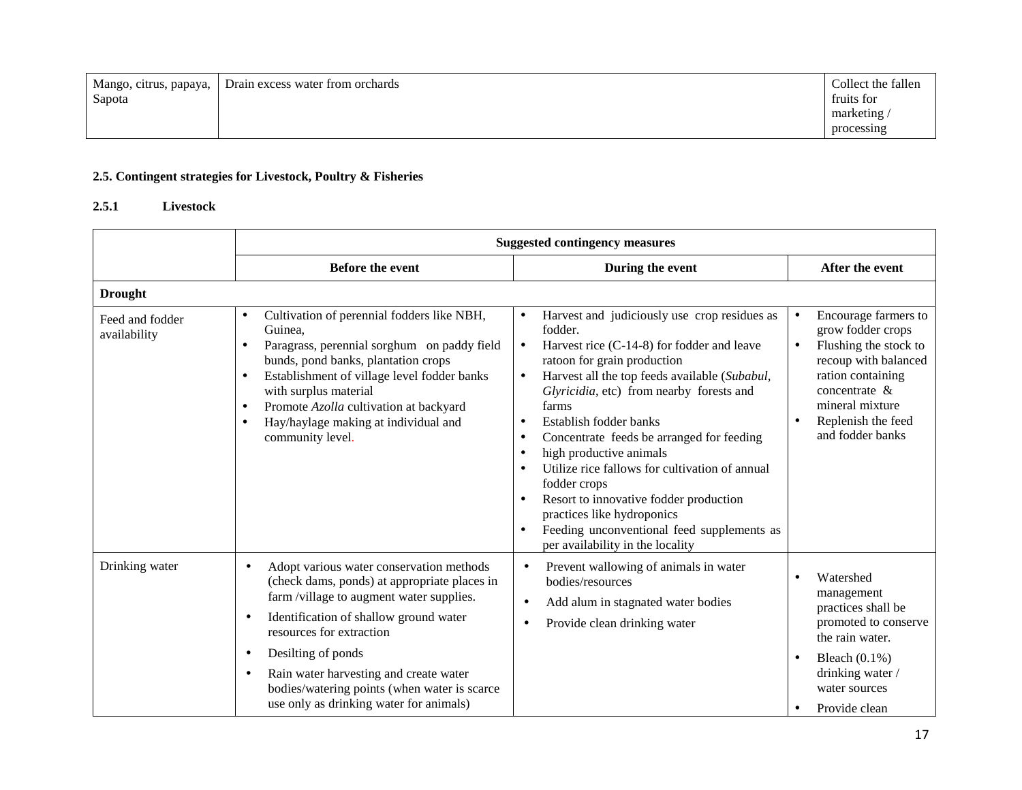| Mango, citrus, papaya, | Drain excess water from orchards | Collect the fallen |
|------------------------|----------------------------------|--------------------|
| Sapota                 |                                  | fruits for         |
|                        |                                  | marketing          |
|                        |                                  | processing         |

## **2.5. Contingent strategies for Livestock, Poultry & Fisheries**

#### **2.5.1 Livestock**

| <b>Before the event</b>                                                                                                                                                                                                                                                                                                                                               |                                                                                                                                                                                                                                                                                                                                                                                                                                                                                                                                                                                                                                                                                               |                                                                                                                                                                                                                            |  |
|-----------------------------------------------------------------------------------------------------------------------------------------------------------------------------------------------------------------------------------------------------------------------------------------------------------------------------------------------------------------------|-----------------------------------------------------------------------------------------------------------------------------------------------------------------------------------------------------------------------------------------------------------------------------------------------------------------------------------------------------------------------------------------------------------------------------------------------------------------------------------------------------------------------------------------------------------------------------------------------------------------------------------------------------------------------------------------------|----------------------------------------------------------------------------------------------------------------------------------------------------------------------------------------------------------------------------|--|
| During the event                                                                                                                                                                                                                                                                                                                                                      |                                                                                                                                                                                                                                                                                                                                                                                                                                                                                                                                                                                                                                                                                               | After the event                                                                                                                                                                                                            |  |
|                                                                                                                                                                                                                                                                                                                                                                       |                                                                                                                                                                                                                                                                                                                                                                                                                                                                                                                                                                                                                                                                                               |                                                                                                                                                                                                                            |  |
| Cultivation of perennial fodders like NBH,<br>$\bullet$<br>Guinea,<br>Paragrass, perennial sorghum on paddy field<br>bunds, pond banks, plantation crops<br>Establishment of village level fodder banks<br>$\bullet$<br>with surplus material<br>Promote Azolla cultivation at backyard<br>$\bullet$<br>Hay/haylage making at individual and<br>٠<br>community level. | Harvest and judiciously use crop residues as<br>$\bullet$<br>fodder.<br>Harvest rice (C-14-8) for fodder and leave<br>$\bullet$<br>ratoon for grain production<br>Harvest all the top feeds available (Subabul,<br>$\bullet$<br>Glyricidia, etc) from nearby forests and<br>farms<br>Establish fodder banks<br>$\bullet$<br>Concentrate feeds be arranged for feeding<br>$\bullet$<br>high productive animals<br>$\bullet$<br>Utilize rice fallows for cultivation of annual<br>$\bullet$<br>fodder crops<br>Resort to innovative fodder production<br>$\bullet$<br>practices like hydroponics<br>Feeding unconventional feed supplements as<br>$\bullet$<br>per availability in the locality | Encourage farmers to<br>$\bullet$<br>grow fodder crops<br>Flushing the stock to<br>$\bullet$<br>recoup with balanced<br>ration containing<br>concentrate $\&$<br>mineral mixture<br>Replenish the feed<br>and fodder banks |  |
| Adopt various water conservation methods<br>$\bullet$<br>(check dams, ponds) at appropriate places in<br>farm /village to augment water supplies.<br>Identification of shallow ground water<br>$\bullet$<br>resources for extraction<br>Desilting of ponds<br>$\bullet$<br>Rain water harvesting and create water<br>bodies/watering points (when water is scarce     | Prevent wallowing of animals in water<br>$\bullet$<br>bodies/resources<br>Add alum in stagnated water bodies<br>$\bullet$<br>Provide clean drinking water<br>٠                                                                                                                                                                                                                                                                                                                                                                                                                                                                                                                                | Watershed<br>management<br>practices shall be<br>promoted to conserve<br>the rain water.<br>Bleach $(0.1\%)$<br>drinking water /<br>water sources<br>Provide clean                                                         |  |
|                                                                                                                                                                                                                                                                                                                                                                       | use only as drinking water for animals)                                                                                                                                                                                                                                                                                                                                                                                                                                                                                                                                                                                                                                                       |                                                                                                                                                                                                                            |  |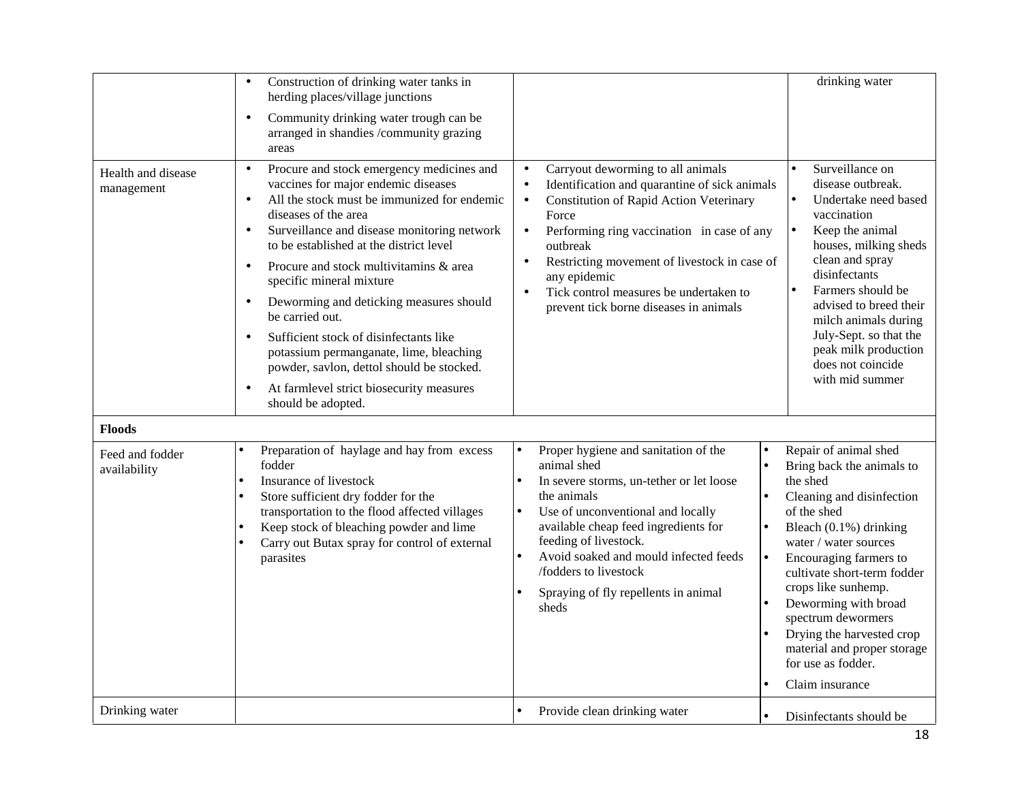|                                  | Construction of drinking water tanks in<br>$\bullet$<br>herding places/village junctions<br>Community drinking water trough can be<br>$\bullet$<br>arranged in shandies /community grazing<br>areas                                                                                                                                                                                                                                                                                                                                                                                                                                                                     |                                                                                                                                                                                                                                                                                                                                                                                                    | drinking water                                                                                                                                                                                                                                                                                                                                                                                      |
|----------------------------------|-------------------------------------------------------------------------------------------------------------------------------------------------------------------------------------------------------------------------------------------------------------------------------------------------------------------------------------------------------------------------------------------------------------------------------------------------------------------------------------------------------------------------------------------------------------------------------------------------------------------------------------------------------------------------|----------------------------------------------------------------------------------------------------------------------------------------------------------------------------------------------------------------------------------------------------------------------------------------------------------------------------------------------------------------------------------------------------|-----------------------------------------------------------------------------------------------------------------------------------------------------------------------------------------------------------------------------------------------------------------------------------------------------------------------------------------------------------------------------------------------------|
| Health and disease<br>management | Procure and stock emergency medicines and<br>$\bullet$<br>vaccines for major endemic diseases<br>All the stock must be immunized for endemic<br>diseases of the area<br>Surveillance and disease monitoring network<br>$\bullet$<br>to be established at the district level<br>Procure and stock multivitamins & area<br>$\bullet$<br>specific mineral mixture<br>Deworming and deticking measures should<br>$\bullet$<br>be carried out.<br>Sufficient stock of disinfectants like<br>$\bullet$<br>potassium permanganate, lime, bleaching<br>powder, savlon, dettol should be stocked.<br>At farmlevel strict biosecurity measures<br>$\bullet$<br>should be adopted. | Carryout deworming to all animals<br>$\bullet$<br>Identification and quarantine of sick animals<br><b>Constitution of Rapid Action Veterinary</b><br>$\bullet$<br>Force<br>Performing ring vaccination in case of any<br>outbreak<br>Restricting movement of livestock in case of<br>any epidemic<br>Tick control measures be undertaken to<br>$\bullet$<br>prevent tick borne diseases in animals | Surveillance on<br>disease outbreak.<br>Undertake need based<br>vaccination<br>Keep the animal<br>$\bullet$<br>houses, milking sheds<br>clean and spray<br>disinfectants<br>Farmers should be<br>$\bullet$<br>advised to breed their<br>milch animals during<br>July-Sept. so that the<br>peak milk production<br>does not coincide<br>with mid summer                                              |
| <b>Floods</b>                    |                                                                                                                                                                                                                                                                                                                                                                                                                                                                                                                                                                                                                                                                         |                                                                                                                                                                                                                                                                                                                                                                                                    |                                                                                                                                                                                                                                                                                                                                                                                                     |
| Feed and fodder<br>availability  | Preparation of haylage and hay from excess<br>fodder<br>Insurance of livestock<br>Store sufficient dry fodder for the<br>$\bullet$<br>transportation to the flood affected villages<br>Keep stock of bleaching powder and lime<br>$\bullet$<br>Carry out Butax spray for control of external<br>parasites                                                                                                                                                                                                                                                                                                                                                               | Proper hygiene and sanitation of the<br>$\bullet$<br>animal shed<br>In severe storms, un-tether or let loose<br>$\bullet$<br>the animals<br>Use of unconventional and locally<br>l e<br>available cheap feed ingredients for<br>feeding of livestock.<br>Avoid soaked and mould infected feeds<br>$\bullet$<br>/fodders to livestock<br>Spraying of fly repellents in animal<br>sheds              | Repair of animal shed<br>Bring back the animals to<br>the shed<br>Cleaning and disinfection<br>of the shed<br>Bleach $(0.1\%)$ drinking<br>water / water sources<br>Encouraging farmers to<br>cultivate short-term fodder<br>crops like sunhemp.<br>Deworming with broad<br>spectrum dewormers<br>Drying the harvested crop<br>material and proper storage<br>for use as fodder.<br>Claim insurance |
| Drinking water                   |                                                                                                                                                                                                                                                                                                                                                                                                                                                                                                                                                                                                                                                                         | Provide clean drinking water<br>$\bullet$                                                                                                                                                                                                                                                                                                                                                          | Disinfectants should be                                                                                                                                                                                                                                                                                                                                                                             |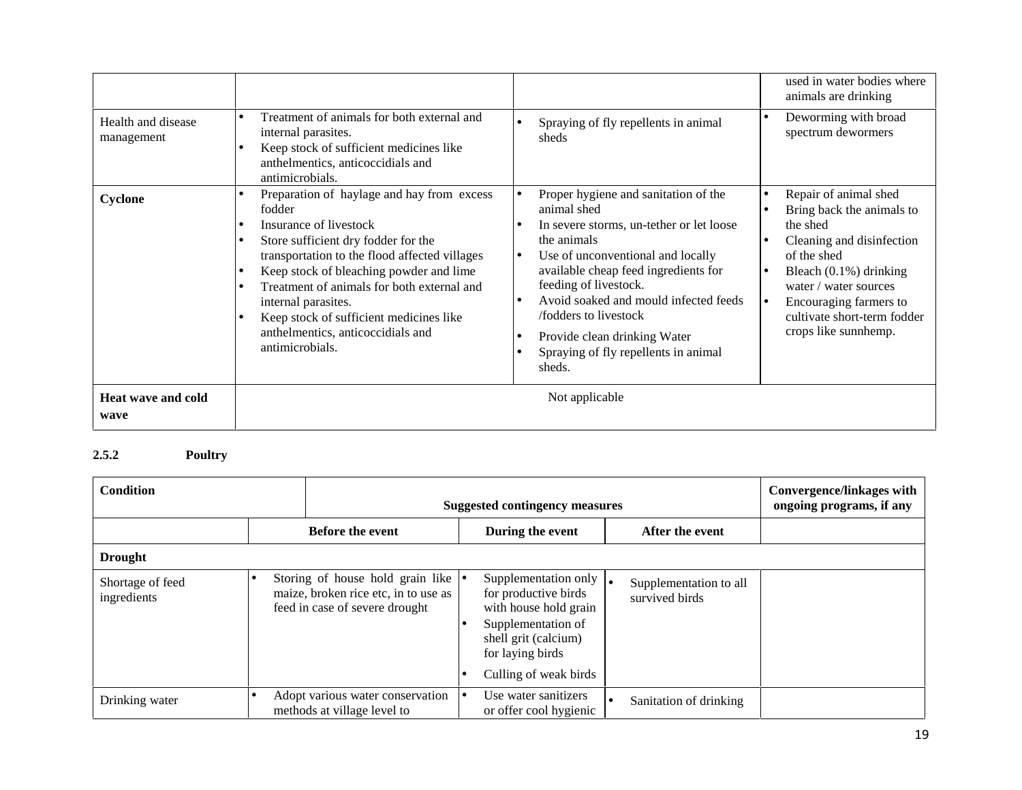|                                   |                                                                                                                                                                                                                                                                                                                                                                                                        |                                                                                                                                                                                                                                                                                                                                                                                                   | used in water bodies where<br>animals are drinking                                                                                                                                                                                                |
|-----------------------------------|--------------------------------------------------------------------------------------------------------------------------------------------------------------------------------------------------------------------------------------------------------------------------------------------------------------------------------------------------------------------------------------------------------|---------------------------------------------------------------------------------------------------------------------------------------------------------------------------------------------------------------------------------------------------------------------------------------------------------------------------------------------------------------------------------------------------|---------------------------------------------------------------------------------------------------------------------------------------------------------------------------------------------------------------------------------------------------|
| Health and disease<br>management  | Treatment of animals for both external and<br>internal parasites.<br>Keep stock of sufficient medicines like<br>anthelmentics, anticoccidials and<br>antimicrobials.                                                                                                                                                                                                                                   | Spraying of fly repellents in animal<br>sheds                                                                                                                                                                                                                                                                                                                                                     | Deworming with broad<br>$\bullet$<br>spectrum dewormers                                                                                                                                                                                           |
| Cyclone                           | Preparation of haylage and hay from excess<br>$\bullet$<br>fodder<br>Insurance of livestock<br>Store sufficient dry fodder for the<br>transportation to the flood affected villages<br>Keep stock of bleaching powder and lime<br>Treatment of animals for both external and<br>internal parasites.<br>Keep stock of sufficient medicines like<br>anthelmentics, anticoccidials and<br>antimicrobials. | Proper hygiene and sanitation of the<br>$\bullet$<br>animal shed<br>In severe storms, un-tether or let loose<br>the animals<br>Use of unconventional and locally<br>lo<br>available cheap feed ingredients for<br>feeding of livestock.<br>Avoid soaked and mould infected feeds<br>le<br>/fodders to livestock<br>Provide clean drinking Water<br>Spraying of fly repellents in animal<br>sheds. | Repair of animal shed<br>Bring back the animals to<br>the shed<br>Cleaning and disinfection<br>of the shed<br>Bleach $(0.1\%)$ drinking<br>water / water sources<br>Encouraging farmers to<br>cultivate short-term fodder<br>crops like sunnhemp. |
| <b>Heat wave and cold</b><br>wave |                                                                                                                                                                                                                                                                                                                                                                                                        | Not applicable                                                                                                                                                                                                                                                                                                                                                                                    |                                                                                                                                                                                                                                                   |

## **2.5.2 Poultry**

| <b>Condition</b>                |  |                                                                                                                      | <b>Suggested contingency measures</b> |                                                                                                                                                   |  | Convergence/linkages with<br>ongoing programs, if any |  |
|---------------------------------|--|----------------------------------------------------------------------------------------------------------------------|---------------------------------------|---------------------------------------------------------------------------------------------------------------------------------------------------|--|-------------------------------------------------------|--|
|                                 |  | <b>Before the event</b>                                                                                              |                                       | During the event                                                                                                                                  |  | After the event                                       |  |
| <b>Drought</b>                  |  |                                                                                                                      |                                       |                                                                                                                                                   |  |                                                       |  |
| Shortage of feed<br>ingredients |  | Storing of house hold grain like $\bullet$<br>maize, broken rice etc, in to use as<br>feed in case of severe drought |                                       | Supplementation only $\vert$ .<br>for productive birds<br>with house hold grain<br>Supplementation of<br>shell grit (calcium)<br>for laying birds |  | Supplementation to all<br>survived birds              |  |
|                                 |  |                                                                                                                      |                                       | Culling of weak birds                                                                                                                             |  |                                                       |  |
| Drinking water                  |  | Adopt various water conservation<br>methods at village level to                                                      | г.                                    | Use water sanitizers<br>or offer cool hygienic                                                                                                    |  | Sanitation of drinking                                |  |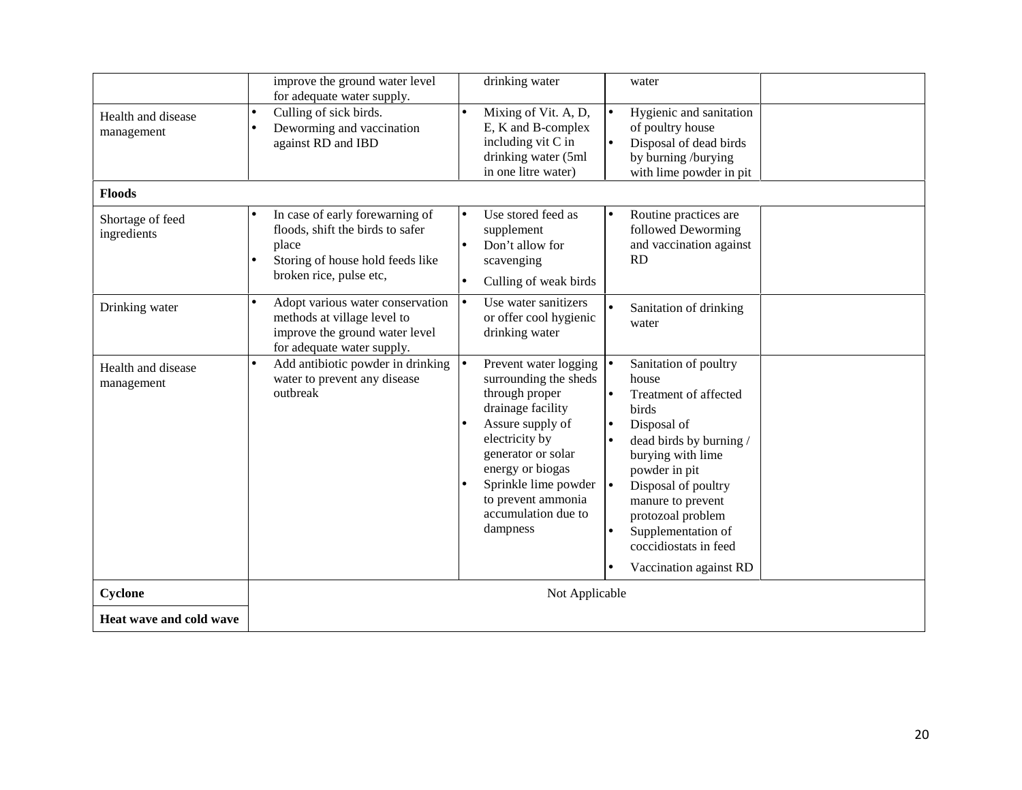|                                  | improve the ground water level<br>drinking water<br>water                                                                                                                                                                                                                                                                                                                                                                                                                                                                                                                                                                                                                                                                      |  |  |
|----------------------------------|--------------------------------------------------------------------------------------------------------------------------------------------------------------------------------------------------------------------------------------------------------------------------------------------------------------------------------------------------------------------------------------------------------------------------------------------------------------------------------------------------------------------------------------------------------------------------------------------------------------------------------------------------------------------------------------------------------------------------------|--|--|
|                                  | for adequate water supply.                                                                                                                                                                                                                                                                                                                                                                                                                                                                                                                                                                                                                                                                                                     |  |  |
| Health and disease<br>management | Culling of sick birds.<br>Mixing of Vit. A, D,<br>Hygienic and sanitation<br>$\bullet$<br>E, K and B-complex<br>of poultry house<br>Deworming and vaccination<br>including vit C in<br>against RD and IBD<br>Disposal of dead birds<br>drinking water (5ml<br>by burning /burying<br>in one litre water)<br>with lime powder in pit                                                                                                                                                                                                                                                                                                                                                                                            |  |  |
| <b>Floods</b>                    |                                                                                                                                                                                                                                                                                                                                                                                                                                                                                                                                                                                                                                                                                                                                |  |  |
| Shortage of feed<br>ingredients  | In case of early forewarning of<br>Use stored feed as<br>Routine practices are<br>floods, shift the birds to safer<br>followed Deworming<br>supplement<br>and vaccination against<br>place<br>Don't allow for<br>RD<br>Storing of house hold feeds like<br>scavenging<br>broken rice, pulse etc,<br>Culling of weak birds                                                                                                                                                                                                                                                                                                                                                                                                      |  |  |
| Drinking water                   | Use water sanitizers<br>Adopt various water conservation<br>$\bullet$<br>Sanitation of drinking<br>methods at village level to<br>or offer cool hygienic<br>water<br>improve the ground water level<br>drinking water<br>for adequate water supply.                                                                                                                                                                                                                                                                                                                                                                                                                                                                            |  |  |
| Health and disease<br>management | Add antibiotic powder in drinking<br>Prevent water logging $  \bullet$<br>Sanitation of poultry<br>water to prevent any disease<br>surrounding the sheds<br>house<br>outbreak<br>through proper<br>Treatment of affected<br>$\bullet$<br>drainage facility<br>birds<br>Assure supply of<br>Disposal of<br>$\bullet$<br>electricity by<br>dead birds by burning /<br>$\bullet$<br>generator or solar<br>burying with lime<br>energy or biogas<br>powder in pit<br>Sprinkle lime powder $\left  \bullet \right $<br>Disposal of poultry<br>to prevent ammonia<br>manure to prevent<br>accumulation due to<br>protozoal problem<br>dampness<br>Supplementation of<br>$\bullet$<br>coccidiostats in feed<br>Vaccination against RD |  |  |
| Cyclone                          | Not Applicable                                                                                                                                                                                                                                                                                                                                                                                                                                                                                                                                                                                                                                                                                                                 |  |  |
| Heat wave and cold wave          |                                                                                                                                                                                                                                                                                                                                                                                                                                                                                                                                                                                                                                                                                                                                |  |  |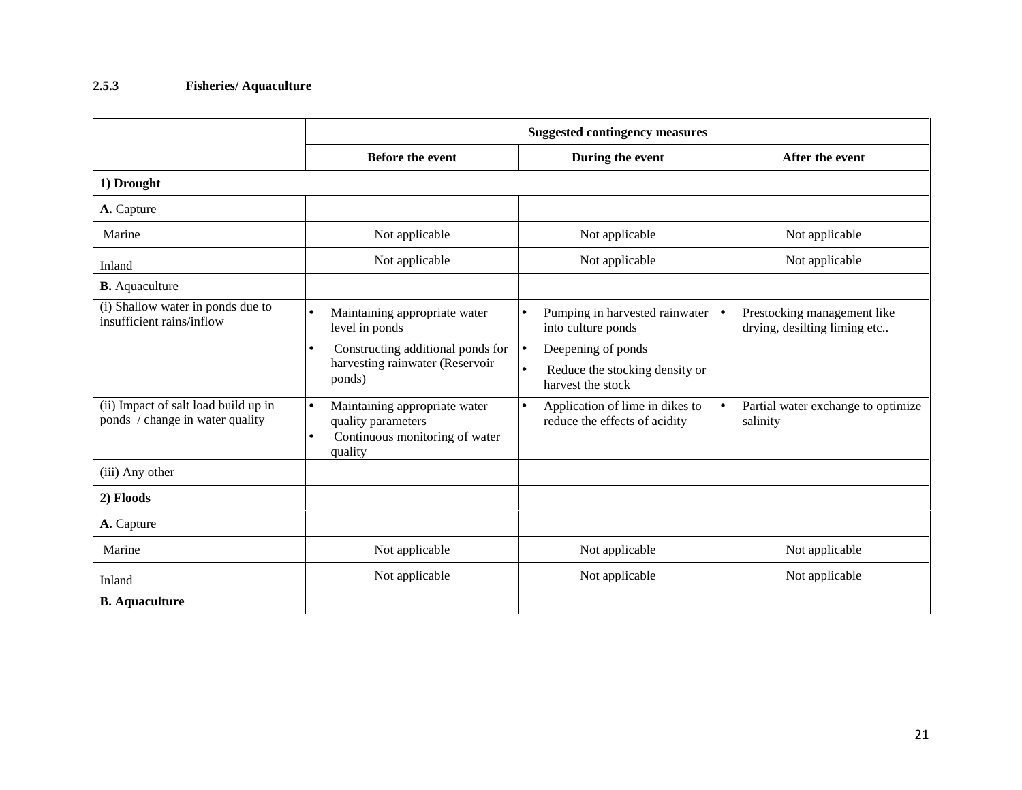### **2.5.3 Fisheries/ Aquaculture**

|                                                                         | <b>Suggested contingency measures</b>                                                                                      |                                                                                                     |                                                                    |  |
|-------------------------------------------------------------------------|----------------------------------------------------------------------------------------------------------------------------|-----------------------------------------------------------------------------------------------------|--------------------------------------------------------------------|--|
|                                                                         | <b>Before the event</b>                                                                                                    | During the event                                                                                    | After the event                                                    |  |
| 1) Drought                                                              |                                                                                                                            |                                                                                                     |                                                                    |  |
| A. Capture                                                              |                                                                                                                            |                                                                                                     |                                                                    |  |
| Marine                                                                  | Not applicable                                                                                                             | Not applicable                                                                                      | Not applicable                                                     |  |
| Inland                                                                  | Not applicable                                                                                                             | Not applicable                                                                                      | Not applicable                                                     |  |
| <b>B.</b> Aquaculture                                                   |                                                                                                                            |                                                                                                     |                                                                    |  |
| (i) Shallow water in ponds due to<br>insufficient rains/inflow          | Maintaining appropriate water<br>level in ponds                                                                            | Pumping in harvested rainwater<br>into culture ponds                                                | Prestocking management like<br>l o<br>drying, desilting liming etc |  |
|                                                                         | Constructing additional ponds for<br>harvesting rainwater (Reservoir<br>ponds)                                             | Deepening of ponds<br>$\bullet$<br>Reduce the stocking density or<br>$\bullet$<br>harvest the stock |                                                                    |  |
| (ii) Impact of salt load build up in<br>ponds / change in water quality | Maintaining appropriate water<br>$\bullet$<br>quality parameters<br>Continuous monitoring of water<br>$\bullet$<br>quality | Application of lime in dikes to<br>$\bullet$<br>reduce the effects of acidity                       | Partial water exchange to optimize<br>$\bullet$<br>salinity        |  |
| (iii) Any other                                                         |                                                                                                                            |                                                                                                     |                                                                    |  |
| 2) Floods                                                               |                                                                                                                            |                                                                                                     |                                                                    |  |
| A. Capture                                                              |                                                                                                                            |                                                                                                     |                                                                    |  |
| Marine                                                                  | Not applicable                                                                                                             | Not applicable                                                                                      | Not applicable                                                     |  |
| Inland                                                                  | Not applicable                                                                                                             | Not applicable                                                                                      | Not applicable                                                     |  |
| <b>B.</b> Aquaculture                                                   |                                                                                                                            |                                                                                                     |                                                                    |  |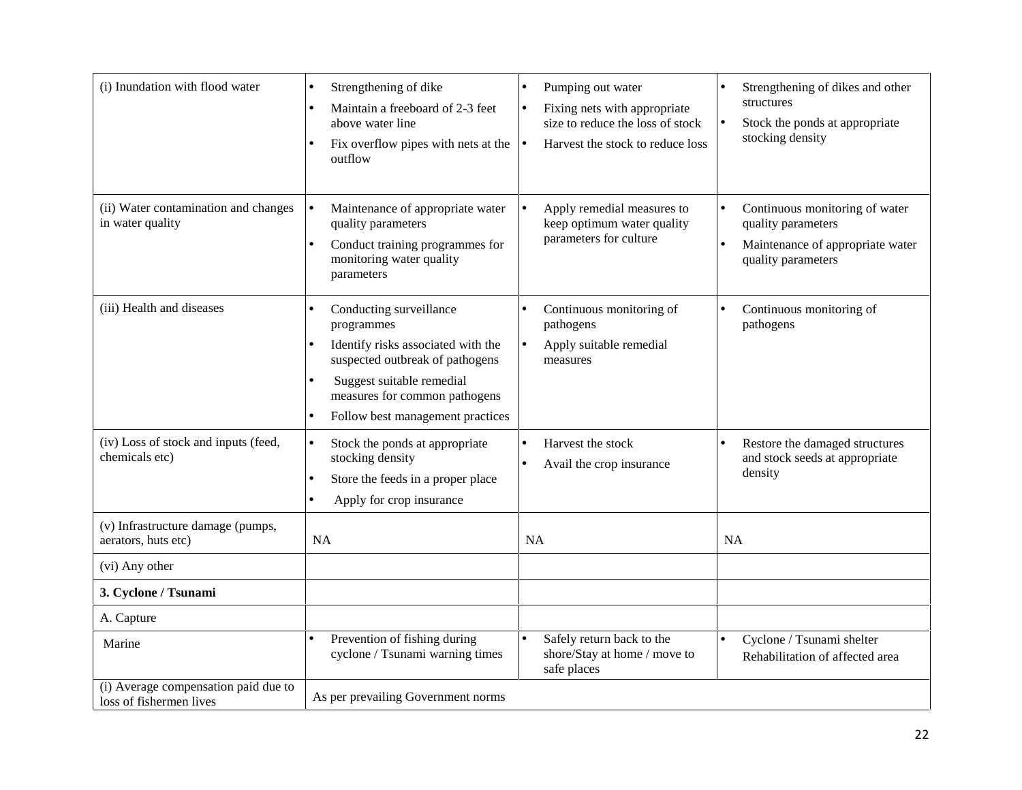| (i) Inundation with flood water                                 | Strengthening of dike<br>Maintain a freeboard of 2-3 feet<br>$\bullet$<br>above water line<br>Fix overflow pipes with nets at the<br>outflow                                                                                               | Pumping out water<br>Fixing nets with appropriate<br>size to reduce the loss of stock<br>Harvest the stock to reduce loss<br>$\bullet$ | Strengthening of dikes and other<br>structures<br>Stock the ponds at appropriate<br>stocking density                                     |
|-----------------------------------------------------------------|--------------------------------------------------------------------------------------------------------------------------------------------------------------------------------------------------------------------------------------------|----------------------------------------------------------------------------------------------------------------------------------------|------------------------------------------------------------------------------------------------------------------------------------------|
| (ii) Water contamination and changes<br>in water quality        | Maintenance of appropriate water<br>$\bullet$<br>quality parameters<br>Conduct training programmes for<br>$\bullet$<br>monitoring water quality<br>parameters                                                                              | Apply remedial measures to<br>keep optimum water quality<br>parameters for culture                                                     | Continuous monitoring of water<br>$\bullet$<br>quality parameters<br>Maintenance of appropriate water<br>$\bullet$<br>quality parameters |
| (iii) Health and diseases                                       | Conducting surveillance<br>programmes<br>Identify risks associated with the<br>suspected outbreak of pathogens<br>Suggest suitable remedial<br>$\bullet$<br>measures for common pathogens<br>Follow best management practices<br>$\bullet$ | Continuous monitoring of<br>pathogens<br>Apply suitable remedial<br>measures                                                           | Continuous monitoring of<br>pathogens                                                                                                    |
| (iv) Loss of stock and inputs (feed,<br>chemicals etc)          | Stock the ponds at appropriate<br>$\bullet$<br>stocking density<br>Store the feeds in a proper place<br>$\bullet$<br>Apply for crop insurance<br>$\bullet$                                                                                 | Harvest the stock<br>Avail the crop insurance                                                                                          | Restore the damaged structures<br>$\bullet$<br>and stock seeds at appropriate<br>density                                                 |
| (v) Infrastructure damage (pumps,<br>aerators, huts etc)        | <b>NA</b>                                                                                                                                                                                                                                  | <b>NA</b>                                                                                                                              | <b>NA</b>                                                                                                                                |
| (vi) Any other                                                  |                                                                                                                                                                                                                                            |                                                                                                                                        |                                                                                                                                          |
| 3. Cyclone / Tsunami                                            |                                                                                                                                                                                                                                            |                                                                                                                                        |                                                                                                                                          |
| A. Capture                                                      |                                                                                                                                                                                                                                            |                                                                                                                                        |                                                                                                                                          |
| Marine                                                          | Prevention of fishing during<br>cyclone / Tsunami warning times                                                                                                                                                                            | Safely return back to the<br>shore/Stay at home / move to<br>safe places                                                               | Cyclone / Tsunami shelter<br>Rehabilitation of affected area                                                                             |
| (i) Average compensation paid due to<br>loss of fishermen lives | As per prevailing Government norms                                                                                                                                                                                                         |                                                                                                                                        |                                                                                                                                          |